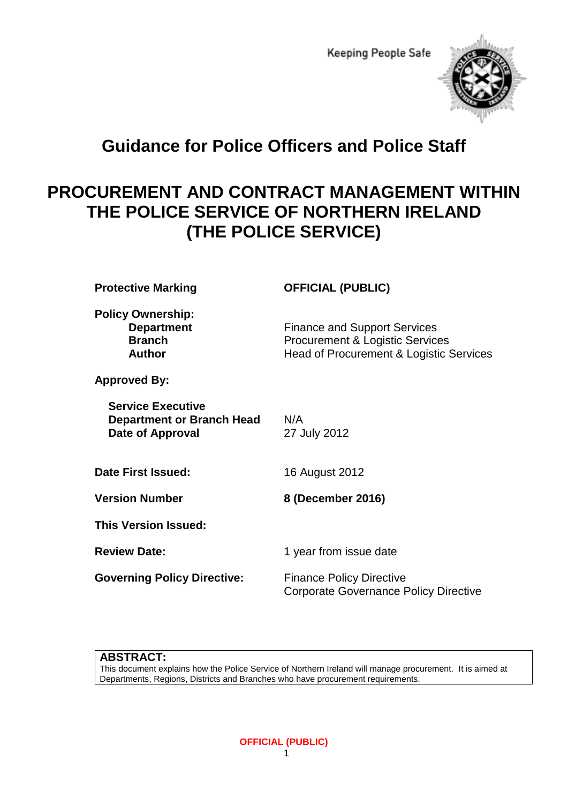

# **Guidance for Police Officers and Police Staff**

# **PROCUREMENT AND CONTRACT MANAGEMENT WITHIN THE POLICE SERVICE OF NORTHERN IRELAND (THE POLICE SERVICE)**

| <b>Protective Marking</b>                                                               | <b>OFFICIAL (PUBLIC)</b>                                                                                                     |
|-----------------------------------------------------------------------------------------|------------------------------------------------------------------------------------------------------------------------------|
| <b>Policy Ownership:</b><br><b>Department</b><br><b>Branch</b><br><b>Author</b>         | <b>Finance and Support Services</b><br><b>Procurement &amp; Logistic Services</b><br>Head of Procurement & Logistic Services |
| <b>Approved By:</b>                                                                     |                                                                                                                              |
| <b>Service Executive</b><br><b>Department or Branch Head</b><br><b>Date of Approval</b> | N/A<br>27 July 2012                                                                                                          |
| Date First Issued:                                                                      | 16 August 2012                                                                                                               |
| <b>Version Number</b>                                                                   | 8 (December 2016)                                                                                                            |
| <b>This Version Issued:</b>                                                             |                                                                                                                              |
| <b>Review Date:</b>                                                                     | 1 year from issue date                                                                                                       |
| <b>Governing Policy Directive:</b>                                                      | <b>Finance Policy Directive</b><br><b>Corporate Governance Policy Directive</b>                                              |

#### **ABSTRACT:**

This document explains how the Police Service of Northern Ireland will manage procurement. It is aimed at Departments, Regions, Districts and Branches who have procurement requirements.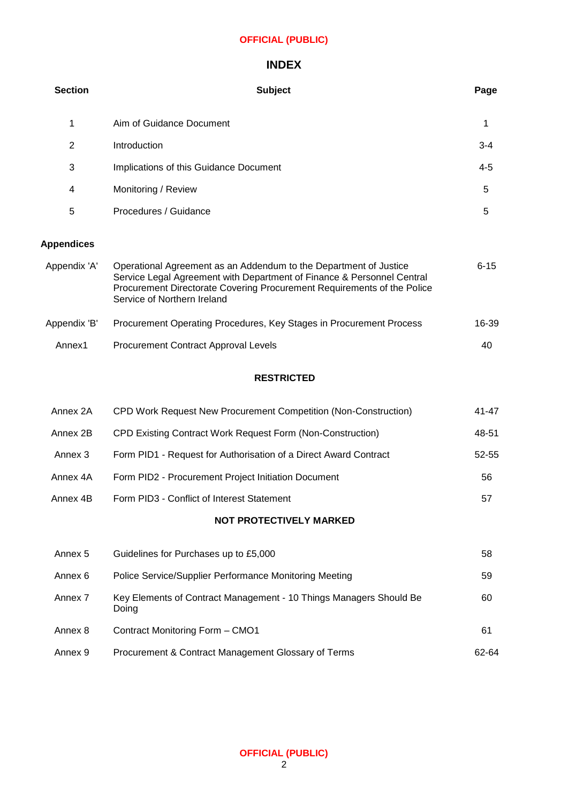# **INDEX**

| <b>Section</b>    | <b>Subject</b>                                                                                                                                                                                                                                        | Page     |
|-------------------|-------------------------------------------------------------------------------------------------------------------------------------------------------------------------------------------------------------------------------------------------------|----------|
| 1                 | Aim of Guidance Document                                                                                                                                                                                                                              | 1        |
| 2                 | Introduction                                                                                                                                                                                                                                          | $3 - 4$  |
| 3                 | Implications of this Guidance Document                                                                                                                                                                                                                | $4 - 5$  |
| 4                 | Monitoring / Review                                                                                                                                                                                                                                   | 5        |
| 5                 | Procedures / Guidance                                                                                                                                                                                                                                 | 5        |
| <b>Appendices</b> |                                                                                                                                                                                                                                                       |          |
| Appendix 'A'      | Operational Agreement as an Addendum to the Department of Justice<br>Service Legal Agreement with Department of Finance & Personnel Central<br>Procurement Directorate Covering Procurement Requirements of the Police<br>Service of Northern Ireland | $6 - 15$ |
| Appendix 'B'      | Procurement Operating Procedures, Key Stages in Procurement Process                                                                                                                                                                                   | 16-39    |
| Annex1            | <b>Procurement Contract Approval Levels</b>                                                                                                                                                                                                           | 40       |
|                   | <b>RESTRICTED</b>                                                                                                                                                                                                                                     |          |

| Annex 2A | CPD Work Request New Procurement Competition (Non-Construction)  | 41-47 |
|----------|------------------------------------------------------------------|-------|
| Annex 2B | CPD Existing Contract Work Request Form (Non-Construction)       | 48-51 |
| Annex 3  | Form PID1 - Request for Authorisation of a Direct Award Contract | 52-55 |
| Annex 4A | Form PID2 - Procurement Project Initiation Document              | 56    |
| Annex 4B | Form PID3 - Conflict of Interest Statement                       | 57    |

# **NOT PROTECTIVELY MARKED**

| Annex 5 | Guidelines for Purchases up to £5,000                                       | 58    |
|---------|-----------------------------------------------------------------------------|-------|
| Annex 6 | Police Service/Supplier Performance Monitoring Meeting                      | 59    |
| Annex 7 | Key Elements of Contract Management - 10 Things Managers Should Be<br>Doing | 60    |
| Annex 8 | Contract Monitoring Form - CMO1                                             | 61    |
| Annex 9 | Procurement & Contract Management Glossary of Terms                         | 62-64 |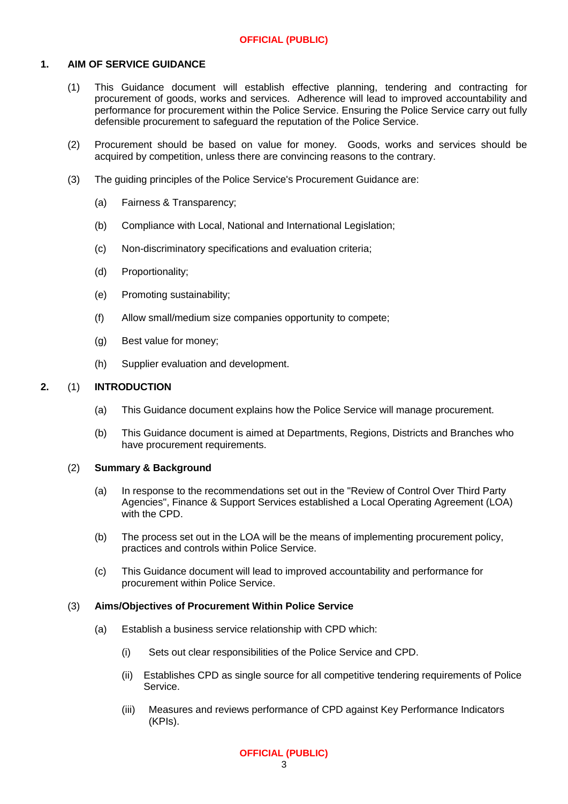#### **1. AIM OF SERVICE GUIDANCE**

- (1) This Guidance document will establish effective planning, tendering and contracting for procurement of goods, works and services. Adherence will lead to improved accountability and performance for procurement within the Police Service. Ensuring the Police Service carry out fully defensible procurement to safeguard the reputation of the Police Service.
- (2) Procurement should be based on value for money. Goods, works and services should be acquired by competition, unless there are convincing reasons to the contrary.
- (3) The guiding principles of the Police Service's Procurement Guidance are:
	- (a) Fairness & Transparency;
	- (b) Compliance with Local, National and International Legislation;
	- (c) Non-discriminatory specifications and evaluation criteria;
	- (d) Proportionality;
	- (e) Promoting sustainability;
	- (f) Allow small/medium size companies opportunity to compete;
	- (g) Best value for money;
	- (h) Supplier evaluation and development.

#### **2.** (1) **INTRODUCTION**

- (a) This Guidance document explains how the Police Service will manage procurement.
- (b) This Guidance document is aimed at Departments, Regions, Districts and Branches who have procurement requirements.

#### (2) **Summary & Background**

- (a) In response to the recommendations set out in the "Review of Control Over Third Party Agencies", Finance & Support Services established a Local Operating Agreement (LOA) with the CPD.
- (b) The process set out in the LOA will be the means of implementing procurement policy, practices and controls within Police Service.
- (c) This Guidance document will lead to improved accountability and performance for procurement within Police Service.

#### (3) **Aims/Objectives of Procurement Within Police Service**

- (a) Establish a business service relationship with CPD which:
	- (i) Sets out clear responsibilities of the Police Service and CPD.
	- (ii) Establishes CPD as single source for all competitive tendering requirements of Police Service.
	- (iii) Measures and reviews performance of CPD against Key Performance Indicators (KPIs).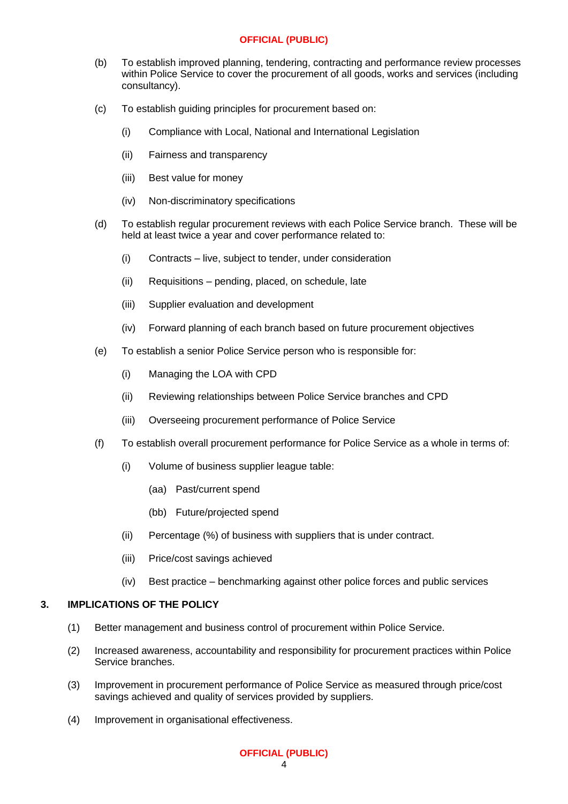- (b) To establish improved planning, tendering, contracting and performance review processes within Police Service to cover the procurement of all goods, works and services (including consultancy).
- (c) To establish guiding principles for procurement based on:
	- (i) Compliance with Local, National and International Legislation
	- (ii) Fairness and transparency
	- (iii) Best value for money
	- (iv) Non-discriminatory specifications
- (d) To establish regular procurement reviews with each Police Service branch. These will be held at least twice a year and cover performance related to:
	- (i) Contracts live, subject to tender, under consideration
	- (ii) Requisitions pending, placed, on schedule, late
	- (iii) Supplier evaluation and development
	- (iv) Forward planning of each branch based on future procurement objectives
- (e) To establish a senior Police Service person who is responsible for:
	- (i) Managing the LOA with CPD
	- (ii) Reviewing relationships between Police Service branches and CPD
	- (iii) Overseeing procurement performance of Police Service
- (f) To establish overall procurement performance for Police Service as a whole in terms of:
	- (i) Volume of business supplier league table:
		- (aa) Past/current spend
		- (bb) Future/projected spend
	- (ii) Percentage (%) of business with suppliers that is under contract.
	- (iii) Price/cost savings achieved
	- (iv) Best practice benchmarking against other police forces and public services

#### **3. IMPLICATIONS OF THE POLICY**

- (1) Better management and business control of procurement within Police Service.
- (2) Increased awareness, accountability and responsibility for procurement practices within Police Service branches.
- (3) Improvement in procurement performance of Police Service as measured through price/cost savings achieved and quality of services provided by suppliers.
- (4) Improvement in organisational effectiveness.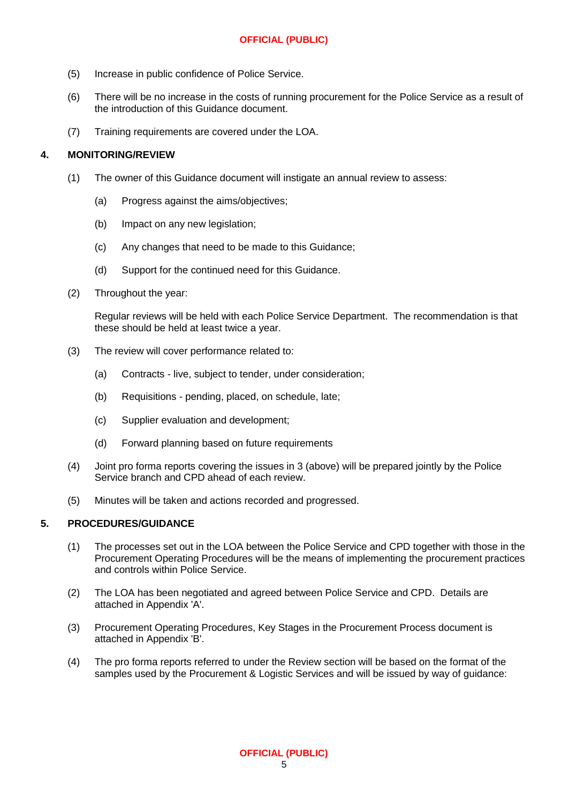- (5) Increase in public confidence of Police Service.
- (6) There will be no increase in the costs of running procurement for the Police Service as a result of the introduction of this Guidance document.
- (7) Training requirements are covered under the LOA.

#### **4. MONITORING/REVIEW**

- (1) The owner of this Guidance document will instigate an annual review to assess:
	- (a) Progress against the aims/objectives;
	- (b) Impact on any new legislation;
	- (c) Any changes that need to be made to this Guidance;
	- (d) Support for the continued need for this Guidance.
- (2) Throughout the year:

Regular reviews will be held with each Police Service Department. The recommendation is that these should be held at least twice a year.

- (3) The review will cover performance related to:
	- (a) Contracts live, subject to tender, under consideration;
	- (b) Requisitions pending, placed, on schedule, late;
	- (c) Supplier evaluation and development;
	- (d) Forward planning based on future requirements
- (4) Joint pro forma reports covering the issues in 3 (above) will be prepared jointly by the Police Service branch and CPD ahead of each review.
- (5) Minutes will be taken and actions recorded and progressed.

#### **5. PROCEDURES/GUIDANCE**

- (1) The processes set out in the LOA between the Police Service and CPD together with those in the Procurement Operating Procedures will be the means of implementing the procurement practices and controls within Police Service.
- (2) The LOA has been negotiated and agreed between Police Service and CPD. Details are attached in Appendix 'A'.
- (3) Procurement Operating Procedures, Key Stages in the Procurement Process document is attached in Appendix 'B'.
- (4) The pro forma reports referred to under the Review section will be based on the format of the samples used by the Procurement & Logistic Services and will be issued by way of guidance: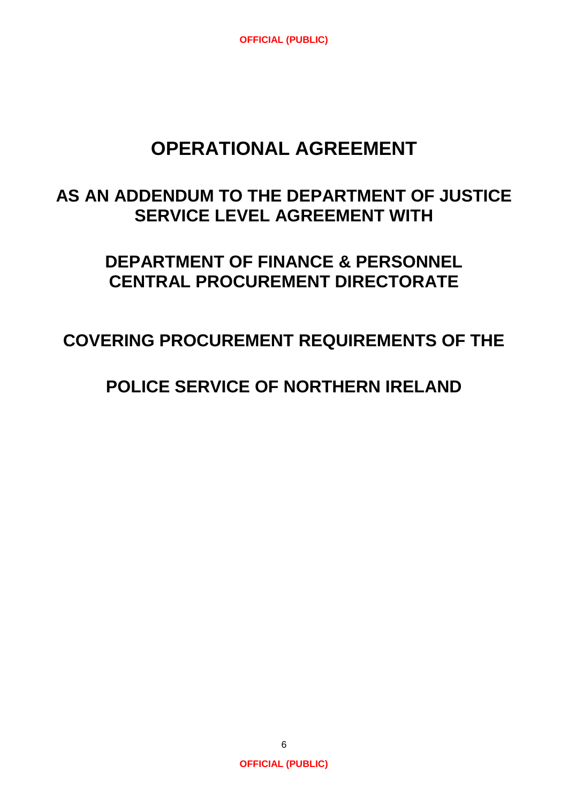# **OPERATIONAL AGREEMENT**

# **AS AN ADDENDUM TO THE DEPARTMENT OF JUSTICE SERVICE LEVEL AGREEMENT WITH**

# **DEPARTMENT OF FINANCE & PERSONNEL CENTRAL PROCUREMENT DIRECTORATE**

# **COVERING PROCUREMENT REQUIREMENTS OF THE**

# **POLICE SERVICE OF NORTHERN IRELAND**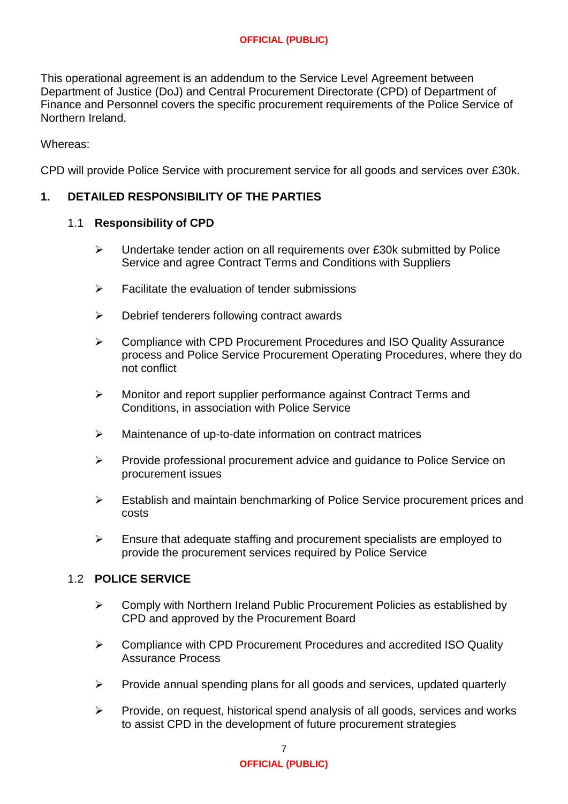This operational agreement is an addendum to the Service Level Agreement between Department of Justice (DoJ) and Central Procurement Directorate (CPD) of Department of Finance and Personnel covers the specific procurement requirements of the Police Service of Northern Ireland.

Whereas:

CPD will provide Police Service with procurement service for all goods and services over £30k.

# **1. DETAILED RESPONSIBILITY OF THE PARTIES**

#### 1.1 **Responsibility of CPD**

- $\triangleright$  Undertake tender action on all requirements over £30k submitted by Police Service and agree Contract Terms and Conditions with Suppliers
- $\triangleright$  Facilitate the evaluation of tender submissions
- $\triangleright$  Debrief tenderers following contract awards
- **►** Compliance with CPD Procurement Procedures and ISO Quality Assurance process and Police Service Procurement Operating Procedures, where they do not conflict
- Monitor and report supplier performance against Contract Terms and Conditions, in association with Police Service
- $\triangleright$  Maintenance of up-to-date information on contract matrices
- Provide professional procurement advice and guidance to Police Service on procurement issues
- Establish and maintain benchmarking of Police Service procurement prices and costs
- $\triangleright$  Ensure that adequate staffing and procurement specialists are employed to provide the procurement services required by Police Service

#### 1.2 **POLICE SERVICE**

- $\triangleright$  Comply with Northern Ireland Public Procurement Policies as established by CPD and approved by the Procurement Board
- Compliance with CPD Procurement Procedures and accredited ISO Quality Assurance Process
- $\triangleright$  Provide annual spending plans for all goods and services, updated quarterly
- $\triangleright$  Provide, on request, historical spend analysis of all goods, services and works to assist CPD in the development of future procurement strategies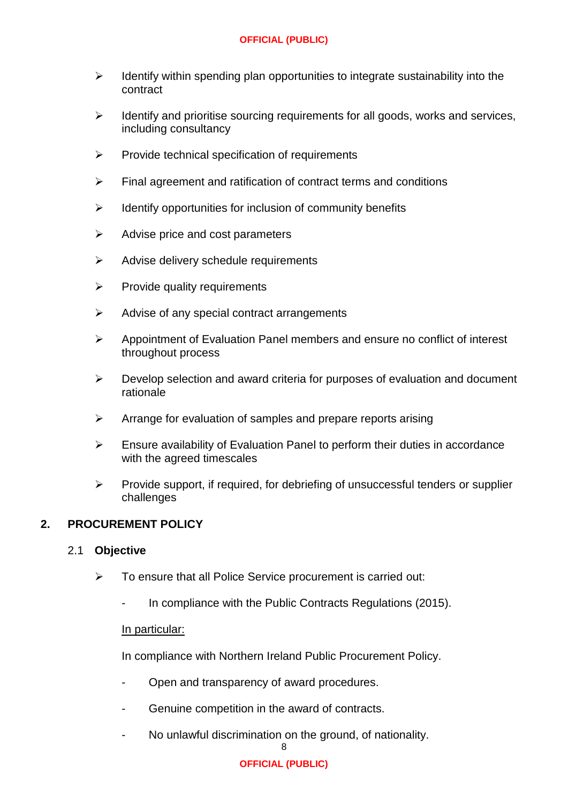- $\triangleright$  Identify within spending plan opportunities to integrate sustainability into the contract
- $\triangleright$  Identify and prioritise sourcing requirements for all goods, works and services, including consultancy
- $\triangleright$  Provide technical specification of requirements
- $\triangleright$  Final agreement and ratification of contract terms and conditions
- $\triangleright$  Identify opportunities for inclusion of community benefits
- $\triangleright$  Advise price and cost parameters
- $\triangleright$  Advise delivery schedule requirements
- $\triangleright$  Provide quality requirements
- $\triangleright$  Advise of any special contract arrangements
- $\triangleright$  Appointment of Evaluation Panel members and ensure no conflict of interest throughout process
- $\triangleright$  Develop selection and award criteria for purposes of evaluation and document rationale
- $\triangleright$  Arrange for evaluation of samples and prepare reports arising
- $\triangleright$  Ensure availability of Evaluation Panel to perform their duties in accordance with the agreed timescales
- $\triangleright$  Provide support, if required, for debriefing of unsuccessful tenders or supplier challenges

#### **2. PROCUREMENT POLICY**

#### 2.1 **Objective**

- $\triangleright$  To ensure that all Police Service procurement is carried out:
	- In compliance with the Public Contracts Regulations (2015).

#### In particular:

In compliance with Northern Ireland Public Procurement Policy.

- Open and transparency of award procedures.
- Genuine competition in the award of contracts.
- No unlawful discrimination on the ground, of nationality.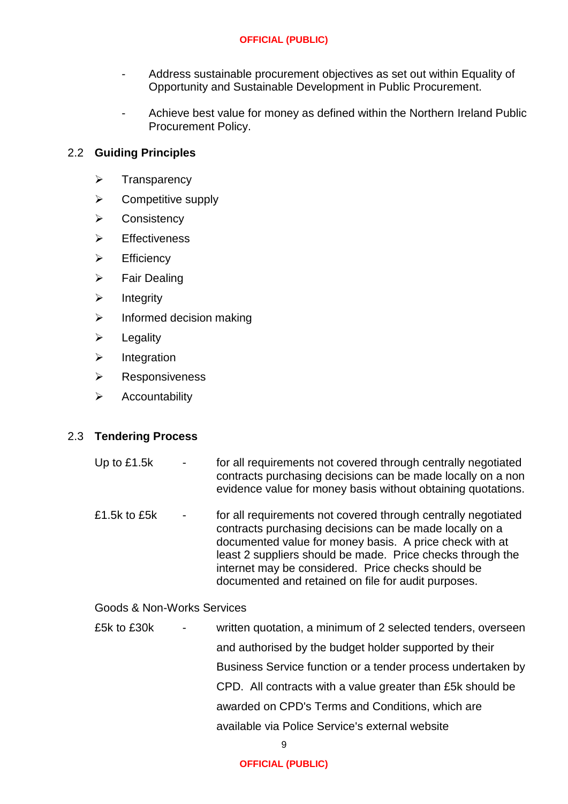- Address sustainable procurement objectives as set out within Equality of Opportunity and Sustainable Development in Public Procurement.
- Achieve best value for money as defined within the Northern Ireland Public Procurement Policy.

# 2.2 **Guiding Principles**

- $\triangleright$  Transparency
- $\triangleright$  Competitive supply
- **▶ Consistency**
- $\triangleright$  Effectiveness
- $\triangleright$  Efficiency
- $\triangleright$  Fair Dealing
- $\triangleright$  Integrity
- $\triangleright$  Informed decision making
- $\triangleright$  Legality
- $\triangleright$  Integration
- $\triangleright$  Responsiveness
- $\triangleright$  Accountability

#### 2.3 **Tendering Process**

- Up to £1.5k for all requirements not covered through centrally negotiated contracts purchasing decisions can be made locally on a non evidence value for money basis without obtaining quotations.
- £1.5k to £5k for all requirements not covered through centrally negotiated contracts purchasing decisions can be made locally on a documented value for money basis. A price check with at least 2 suppliers should be made. Price checks through the internet may be considered. Price checks should be documented and retained on file for audit purposes.

#### Goods & Non-Works Services

£5k to £30k - written quotation, a minimum of 2 selected tenders, overseen and authorised by the budget holder supported by their Business Service function or a tender process undertaken by CPD. All contracts with a value greater than £5k should be awarded on CPD's Terms and Conditions, which are available via Police Service's external website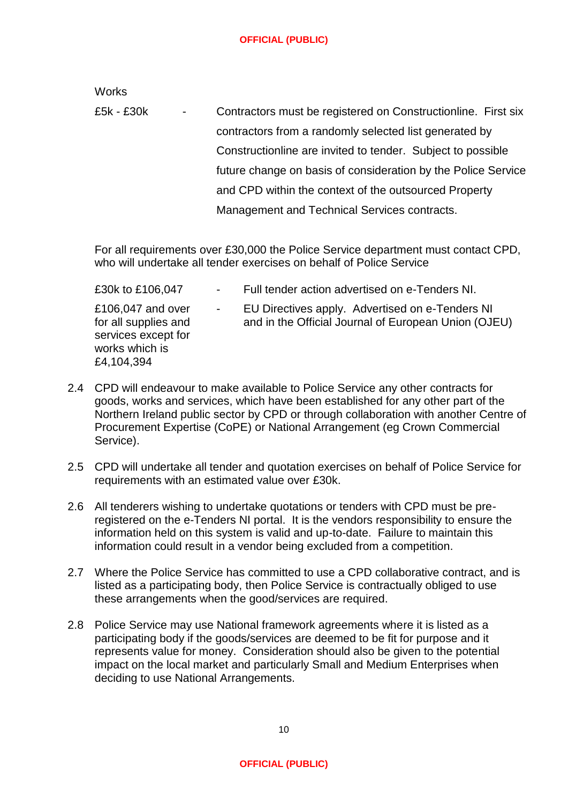**Works** 

£5k - £30k - Contractors must be registered on Constructionline. First six contractors from a randomly selected list generated by Constructionline are invited to tender. Subject to possible future change on basis of consideration by the Police Service and CPD within the context of the outsourced Property Management and Technical Services contracts.

For all requirements over £30,000 the Police Service department must contact CPD, who will undertake all tender exercises on behalf of Police Service

| £30k to £106,047                                                                                 | Full tender action advertised on e-Tenders NI.                                                          |
|--------------------------------------------------------------------------------------------------|---------------------------------------------------------------------------------------------------------|
| £106,047 and over<br>for all supplies and<br>services except for<br>works which is<br>£4,104,394 | EU Directives apply. Advertised on e-Tenders NI<br>and in the Official Journal of European Union (OJEU) |
|                                                                                                  |                                                                                                         |

- 2.4 CPD will endeavour to make available to Police Service any other contracts for goods, works and services, which have been established for any other part of the Northern Ireland public sector by CPD or through collaboration with another Centre of Procurement Expertise (CoPE) or National Arrangement (eg Crown Commercial Service).
- 2.5 CPD will undertake all tender and quotation exercises on behalf of Police Service for requirements with an estimated value over £30k.
- 2.6 All tenderers wishing to undertake quotations or tenders with CPD must be preregistered on the e-Tenders NI portal. It is the vendors responsibility to ensure the information held on this system is valid and up-to-date. Failure to maintain this information could result in a vendor being excluded from a competition.
- 2.7 Where the Police Service has committed to use a CPD collaborative contract, and is listed as a participating body, then Police Service is contractually obliged to use these arrangements when the good/services are required.
- 2.8 Police Service may use National framework agreements where it is listed as a participating body if the goods/services are deemed to be fit for purpose and it represents value for money. Consideration should also be given to the potential impact on the local market and particularly Small and Medium Enterprises when deciding to use National Arrangements.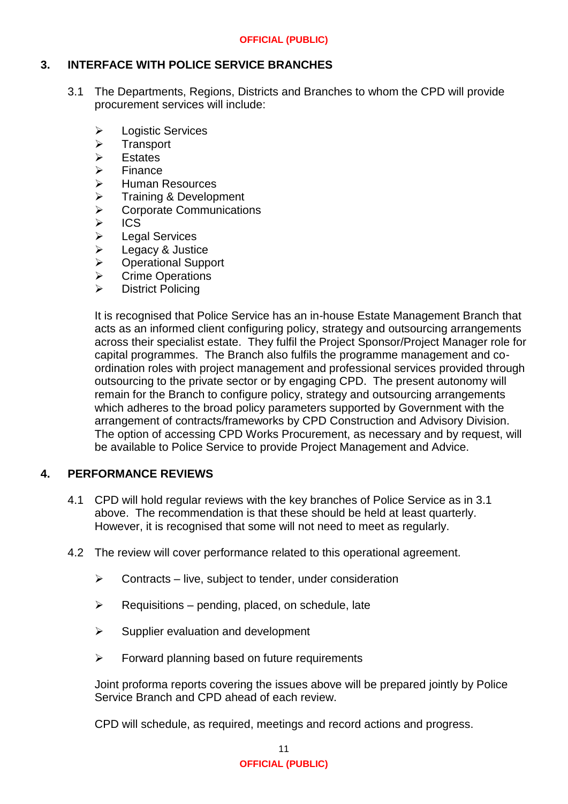#### **3. INTERFACE WITH POLICE SERVICE BRANCHES**

- 3.1 The Departments, Regions, Districts and Branches to whom the CPD will provide procurement services will include:
	- **▶ Logistic Services**
	- > Transport<br>> Estates
	- **Estates**
	- > Finance<br>> Human F
	- → Human Resources<br>→ Training & Develop
	-
	- → Training & Development<br>→ Corporate Communicatio  $\triangleright$  Corporate Communications<br> $\triangleright$  ICS
	-
	- ics<br>In Leg
	- → Legal Services<br>→ Legacy & Justic Legacy & Justice
	- Operational Support
	- **▶ Crime Operations**
	- > District Policing

It is recognised that Police Service has an in-house Estate Management Branch that acts as an informed client configuring policy, strategy and outsourcing arrangements across their specialist estate. They fulfil the Project Sponsor/Project Manager role for capital programmes. The Branch also fulfils the programme management and coordination roles with project management and professional services provided through outsourcing to the private sector or by engaging CPD. The present autonomy will remain for the Branch to configure policy, strategy and outsourcing arrangements which adheres to the broad policy parameters supported by Government with the arrangement of contracts/frameworks by CPD Construction and Advisory Division. The option of accessing CPD Works Procurement, as necessary and by request, will be available to Police Service to provide Project Management and Advice.

#### **4. PERFORMANCE REVIEWS**

- 4.1 CPD will hold regular reviews with the key branches of Police Service as in 3.1 above. The recommendation is that these should be held at least quarterly. However, it is recognised that some will not need to meet as regularly.
- 4.2 The review will cover performance related to this operational agreement.
	- $\triangleright$  Contracts live, subject to tender, under consideration
	- $\triangleright$  Requisitions pending, placed, on schedule, late
	- $\triangleright$  Supplier evaluation and development
	- $\triangleright$  Forward planning based on future requirements

Joint proforma reports covering the issues above will be prepared jointly by Police Service Branch and CPD ahead of each review.

CPD will schedule, as required, meetings and record actions and progress.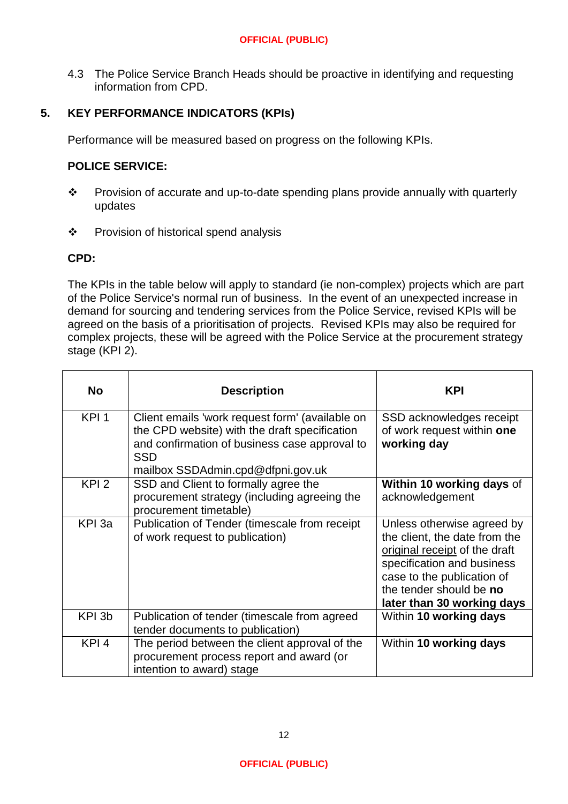4.3 The Police Service Branch Heads should be proactive in identifying and requesting information from CPD.

# **5. KEY PERFORMANCE INDICATORS (KPIs)**

Performance will be measured based on progress on the following KPIs.

# **POLICE SERVICE:**

- \* Provision of accurate and up-to-date spending plans provide annually with quarterly updates
- ❖ Provision of historical spend analysis

## **CPD:**

The KPIs in the table below will apply to standard (ie non-complex) projects which are part of the Police Service's normal run of business. In the event of an unexpected increase in demand for sourcing and tendering services from the Police Service, revised KPIs will be agreed on the basis of a prioritisation of projects. Revised KPIs may also be required for complex projects, these will be agreed with the Police Service at the procurement strategy stage (KPI 2).

| <b>No</b>        | <b>Description</b>                                                                                                                                                                                   | <b>KPI</b>                                                                                                                                                                                                        |
|------------------|------------------------------------------------------------------------------------------------------------------------------------------------------------------------------------------------------|-------------------------------------------------------------------------------------------------------------------------------------------------------------------------------------------------------------------|
| KPI <sub>1</sub> | Client emails 'work request form' (available on<br>the CPD website) with the draft specification<br>and confirmation of business case approval to<br><b>SSD</b><br>mailbox SSDAdmin.cpd@dfpni.gov.uk | SSD acknowledges receipt<br>of work request within one<br>working day                                                                                                                                             |
| KPI <sub>2</sub> | SSD and Client to formally agree the<br>procurement strategy (including agreeing the<br>procurement timetable)                                                                                       | Within 10 working days of<br>acknowledgement                                                                                                                                                                      |
| KPI 3a           | Publication of Tender (timescale from receipt)<br>of work request to publication)                                                                                                                    | Unless otherwise agreed by<br>the client, the date from the<br>original receipt of the draft<br>specification and business<br>case to the publication of<br>the tender should be no<br>later than 30 working days |
| KPI 3b           | Publication of tender (timescale from agreed<br>tender documents to publication)                                                                                                                     | Within 10 working days                                                                                                                                                                                            |
| KPI <sub>4</sub> | The period between the client approval of the<br>procurement process report and award (or<br>intention to award) stage                                                                               | Within 10 working days                                                                                                                                                                                            |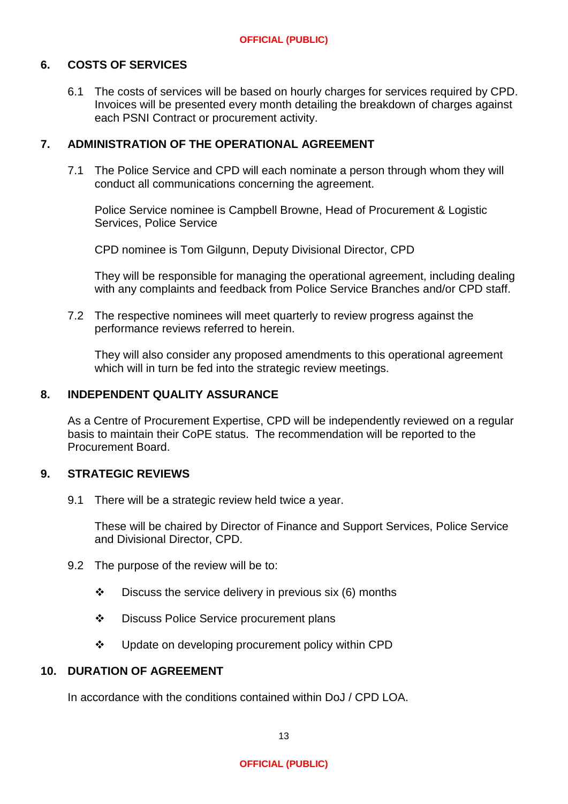#### **6. COSTS OF SERVICES**

6.1 The costs of services will be based on hourly charges for services required by CPD. Invoices will be presented every month detailing the breakdown of charges against each PSNI Contract or procurement activity.

# **7. ADMINISTRATION OF THE OPERATIONAL AGREEMENT**

7.1 The Police Service and CPD will each nominate a person through whom they will conduct all communications concerning the agreement.

Police Service nominee is Campbell Browne, Head of Procurement & Logistic Services, Police Service

CPD nominee is Tom Gilgunn, Deputy Divisional Director, CPD

They will be responsible for managing the operational agreement, including dealing with any complaints and feedback from Police Service Branches and/or CPD staff.

7.2 The respective nominees will meet quarterly to review progress against the performance reviews referred to herein.

They will also consider any proposed amendments to this operational agreement which will in turn be fed into the strategic review meetings.

#### **8. INDEPENDENT QUALITY ASSURANCE**

As a Centre of Procurement Expertise, CPD will be independently reviewed on a regular basis to maintain their CoPE status. The recommendation will be reported to the Procurement Board.

#### **9. STRATEGIC REVIEWS**

9.1 There will be a strategic review held twice a year.

These will be chaired by Director of Finance and Support Services, Police Service and Divisional Director, CPD.

- 9.2 The purpose of the review will be to:
	- $\cdot \cdot$  Discuss the service delivery in previous six (6) months
	- ❖ Discuss Police Service procurement plans
	- ❖ Update on developing procurement policy within CPD

#### **10. DURATION OF AGREEMENT**

In accordance with the conditions contained within DoJ / CPD LOA.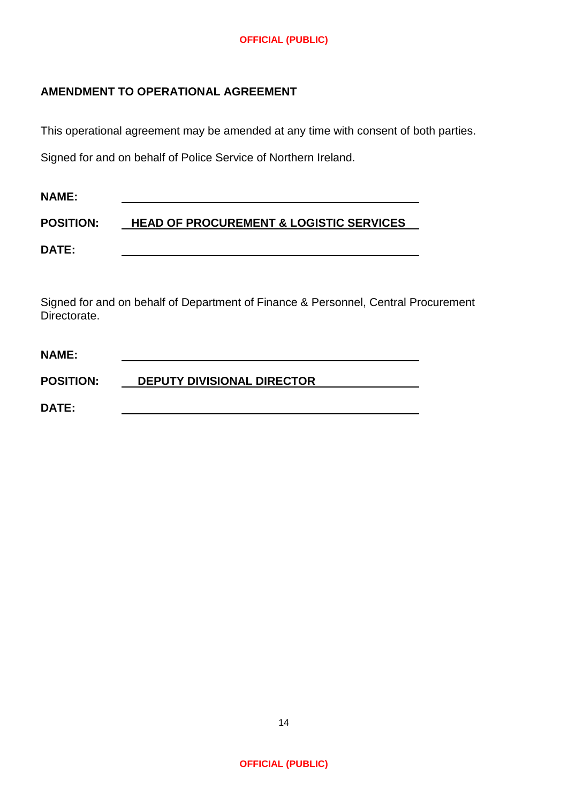# **AMENDMENT TO OPERATIONAL AGREEMENT**

This operational agreement may be amended at any time with consent of both parties.

Signed for and on behalf of Police Service of Northern Ireland.

| <b>NAME:</b>     |                                                    |
|------------------|----------------------------------------------------|
| <b>POSITION:</b> | <b>HEAD OF PROCUREMENT &amp; LOGISTIC SERVICES</b> |
| <b>DATE:</b>     |                                                    |

Signed for and on behalf of Department of Finance & Personnel, Central Procurement Directorate.

| <b>NAME:</b>     |                                   |
|------------------|-----------------------------------|
| <b>POSITION:</b> | <b>DEPUTY DIVISIONAL DIRECTOR</b> |
| <b>DATE:</b>     |                                   |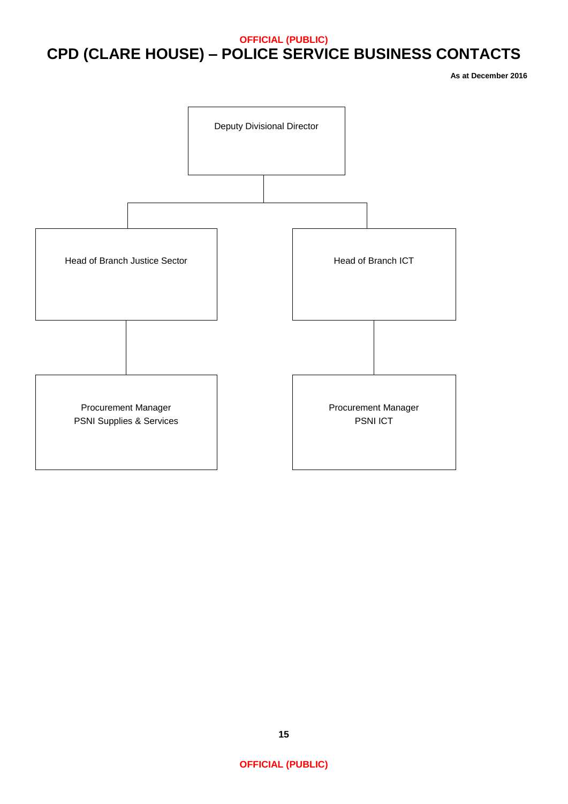# **OFFICIAL (PUBLIC) CPD (CLARE HOUSE) – POLICE SERVICE BUSINESS CONTACTS**

**As at December 2016**

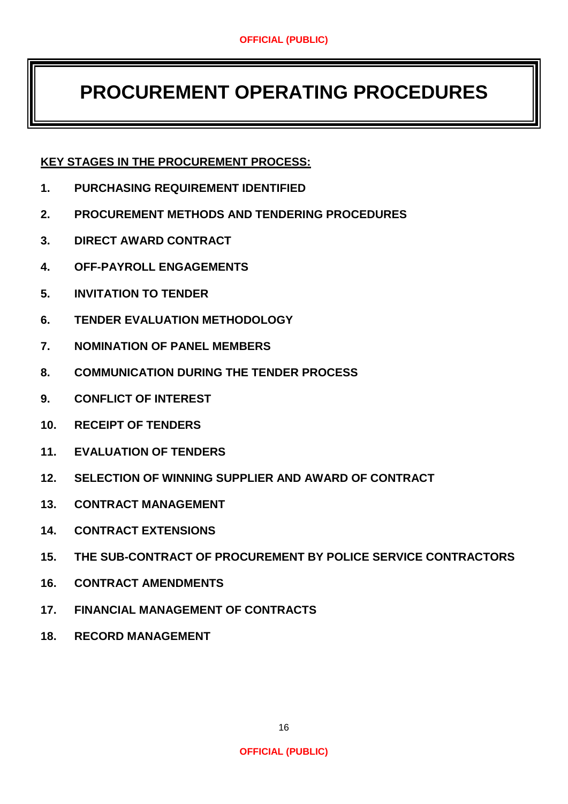# **PROCUREMENT OPERATING PROCEDURES**

# **KEY STAGES IN THE PROCUREMENT PROCESS:**

- **1. PURCHASING REQUIREMENT IDENTIFIED**
- **2. PROCUREMENT METHODS AND TENDERING PROCEDURES**
- **3. DIRECT AWARD CONTRACT**
- **4. OFF-PAYROLL ENGAGEMENTS**
- **5. INVITATION TO TENDER**
- **6. TENDER EVALUATION METHODOLOGY**
- **7. NOMINATION OF PANEL MEMBERS**
- **8. COMMUNICATION DURING THE TENDER PROCESS**
- **9. CONFLICT OF INTEREST**
- **10. RECEIPT OF TENDERS**
- **11. EVALUATION OF TENDERS**
- **12. SELECTION OF WINNING SUPPLIER AND AWARD OF CONTRACT**
- **13. CONTRACT MANAGEMENT**
- **14. CONTRACT EXTENSIONS**
- **15. THE SUB-CONTRACT OF PROCUREMENT BY POLICE SERVICE CONTRACTORS**
- **16. CONTRACT AMENDMENTS**
- **17. FINANCIAL MANAGEMENT OF CONTRACTS**
- **18. RECORD MANAGEMENT**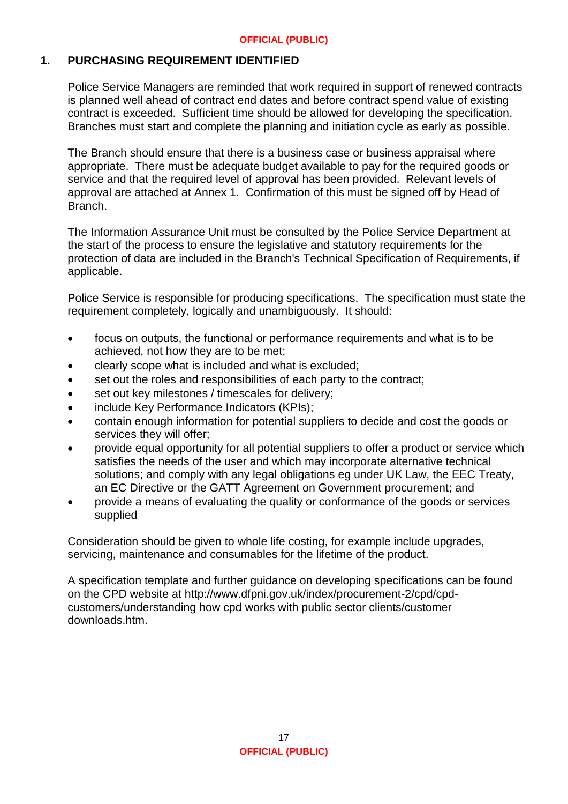## **1. PURCHASING REQUIREMENT IDENTIFIED**

Police Service Managers are reminded that work required in support of renewed contracts is planned well ahead of contract end dates and before contract spend value of existing contract is exceeded. Sufficient time should be allowed for developing the specification. Branches must start and complete the planning and initiation cycle as early as possible.

The Branch should ensure that there is a business case or business appraisal where appropriate. There must be adequate budget available to pay for the required goods or service and that the required level of approval has been provided. Relevant levels of approval are attached at Annex 1. Confirmation of this must be signed off by Head of Branch.

The Information Assurance Unit must be consulted by the Police Service Department at the start of the process to ensure the legislative and statutory requirements for the protection of data are included in the Branch's Technical Specification of Requirements, if applicable.

Police Service is responsible for producing specifications. The specification must state the requirement completely, logically and unambiguously. It should:

- focus on outputs, the functional or performance requirements and what is to be achieved, not how they are to be met;
- clearly scope what is included and what is excluded;
- set out the roles and responsibilities of each party to the contract;
- set out key milestones / timescales for delivery;
- include Key Performance Indicators (KPIs);
- contain enough information for potential suppliers to decide and cost the goods or services they will offer;
- provide equal opportunity for all potential suppliers to offer a product or service which satisfies the needs of the user and which may incorporate alternative technical solutions; and comply with any legal obligations eg under UK Law, the EEC Treaty, an EC Directive or the GATT Agreement on Government procurement; and
- provide a means of evaluating the quality or conformance of the goods or services supplied

Consideration should be given to whole life costing, for example include upgrades, servicing, maintenance and consumables for the lifetime of the product.

A specification template and further guidance on developing specifications can be found on the CPD website at http://www.dfpni.gov.uk/index/procurement-2/cpd/cpdcustomers/understanding how cpd works with public sector clients/customer downloads.htm.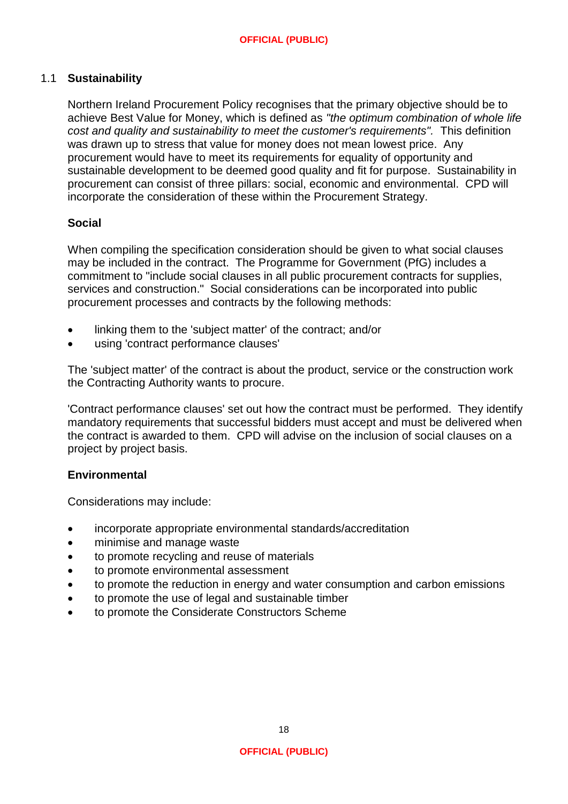# 1.1 **Sustainability**

Northern Ireland Procurement Policy recognises that the primary objective should be to achieve Best Value for Money, which is defined as *"the optimum combination of whole life cost and quality and sustainability to meet the customer's requirements".* This definition was drawn up to stress that value for money does not mean lowest price. Any procurement would have to meet its requirements for equality of opportunity and sustainable development to be deemed good quality and fit for purpose. Sustainability in procurement can consist of three pillars: social, economic and environmental. CPD will incorporate the consideration of these within the Procurement Strategy.

#### **Social**

When compiling the specification consideration should be given to what social clauses may be included in the contract. The Programme for Government (PfG) includes a commitment to "include social clauses in all public procurement contracts for supplies, services and construction." Social considerations can be incorporated into public procurement processes and contracts by the following methods:

- linking them to the 'subject matter' of the contract; and/or
- using 'contract performance clauses'

The 'subject matter' of the contract is about the product, service or the construction work the Contracting Authority wants to procure.

'Contract performance clauses' set out how the contract must be performed. They identify mandatory requirements that successful bidders must accept and must be delivered when the contract is awarded to them. CPD will advise on the inclusion of social clauses on a project by project basis.

#### **Environmental**

Considerations may include:

- incorporate appropriate environmental standards/accreditation
- minimise and manage waste
- to promote recycling and reuse of materials
- to promote environmental assessment
- to promote the reduction in energy and water consumption and carbon emissions
- to promote the use of legal and sustainable timber
- to promote the Considerate Constructors Scheme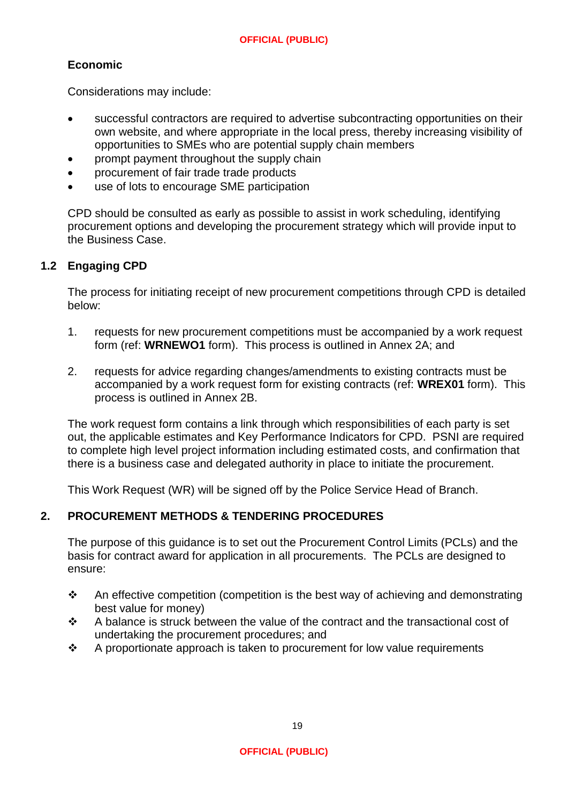# **Economic**

Considerations may include:

- successful contractors are required to advertise subcontracting opportunities on their own website, and where appropriate in the local press, thereby increasing visibility of opportunities to SMEs who are potential supply chain members
- prompt payment throughout the supply chain
- procurement of fair trade trade products
- use of lots to encourage SME participation

CPD should be consulted as early as possible to assist in work scheduling, identifying procurement options and developing the procurement strategy which will provide input to the Business Case.

## **1.2 Engaging CPD**

The process for initiating receipt of new procurement competitions through CPD is detailed below:

- 1. requests for new procurement competitions must be accompanied by a work request form (ref: **WRNEWO1** form). This process is outlined in Annex 2A; and
- 2. requests for advice regarding changes/amendments to existing contracts must be accompanied by a work request form for existing contracts (ref: **WREX01** form). This process is outlined in Annex 2B.

The work request form contains a link through which responsibilities of each party is set out, the applicable estimates and Key Performance Indicators for CPD. PSNI are required to complete high level project information including estimated costs, and confirmation that there is a business case and delegated authority in place to initiate the procurement.

This Work Request (WR) will be signed off by the Police Service Head of Branch.

#### **2. PROCUREMENT METHODS & TENDERING PROCEDURES**

The purpose of this guidance is to set out the Procurement Control Limits (PCLs) and the basis for contract award for application in all procurements. The PCLs are designed to ensure:

- An effective competition (competition is the best way of achieving and demonstrating best value for money)
- $\div$  A balance is struck between the value of the contract and the transactional cost of undertaking the procurement procedures; and
- $\div$  A proportionate approach is taken to procurement for low value requirements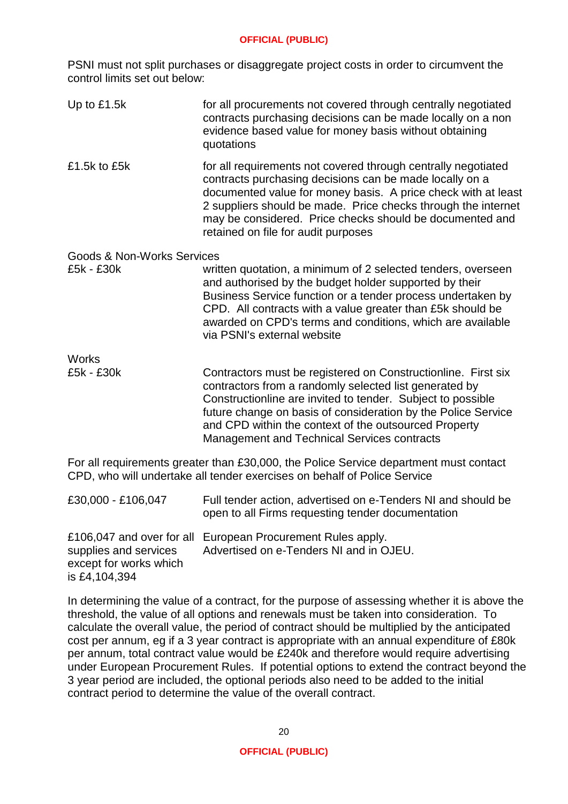PSNI must not split purchases or disaggregate project costs in order to circumvent the control limits set out below:

Up to  $£1.5k$  for all procurements not covered through centrally negotiated contracts purchasing decisions can be made locally on a non evidence based value for money basis without obtaining quotations £1.5k to £5k for all requirements not covered through centrally negotiated contracts purchasing decisions can be made locally on a documented value for money basis. A price check with at least 2 suppliers should be made. Price checks through the internet may be considered. Price checks should be documented and retained on file for audit purposes Goods & Non-Works Services £5k - £30k written quotation, a minimum of 2 selected tenders, overseen and authorised by the budget holder supported by their Business Service function or a tender process undertaken by CPD. All contracts with a value greater than £5k should be awarded on CPD's terms and conditions, which are available via PSNI's external website Works<br>£5k - £30k Contractors must be registered on Constructionline. First six contractors from a randomly selected list generated by Constructionline are invited to tender. Subject to possible future change on basis of consideration by the Police Service and CPD within the context of the outsourced Property Management and Technical Services contracts

For all requirements greater than £30,000, the Police Service department must contact CPD, who will undertake all tender exercises on behalf of Police Service

| £30,000 - £106,047                                               | Full tender action, advertised on e-Tenders NI and should be<br>open to all Firms requesting tender documentation |
|------------------------------------------------------------------|-------------------------------------------------------------------------------------------------------------------|
| supplies and services<br>except for works which<br>is £4,104,394 | £106,047 and over for all European Procurement Rules apply.<br>Advertised on e-Tenders NI and in OJEU.            |

In determining the value of a contract, for the purpose of assessing whether it is above the threshold, the value of all options and renewals must be taken into consideration. To calculate the overall value, the period of contract should be multiplied by the anticipated cost per annum, eg if a 3 year contract is appropriate with an annual expenditure of £80k per annum, total contract value would be £240k and therefore would require advertising under European Procurement Rules. If potential options to extend the contract beyond the 3 year period are included, the optional periods also need to be added to the initial contract period to determine the value of the overall contract.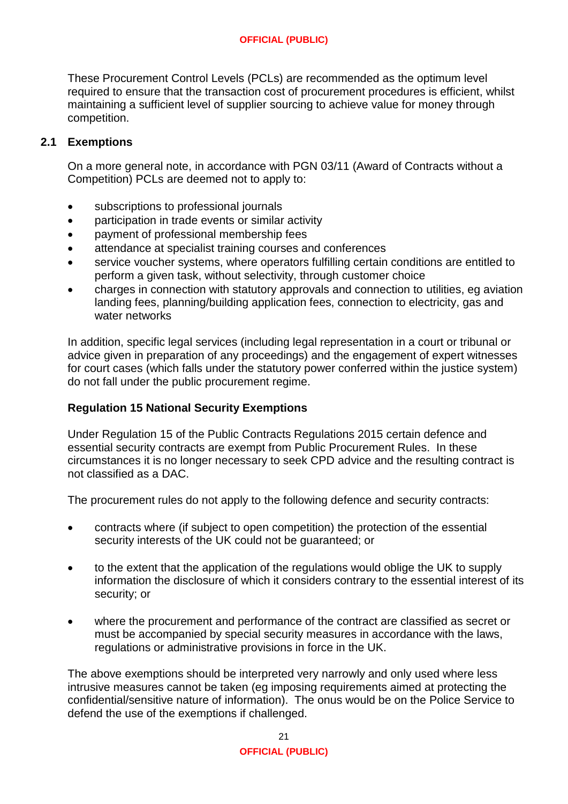These Procurement Control Levels (PCLs) are recommended as the optimum level required to ensure that the transaction cost of procurement procedures is efficient, whilst maintaining a sufficient level of supplier sourcing to achieve value for money through competition.

# **2.1 Exemptions**

On a more general note, in accordance with PGN 03/11 (Award of Contracts without a Competition) PCLs are deemed not to apply to:

- subscriptions to professional journals
- participation in trade events or similar activity
- payment of professional membership fees
- attendance at specialist training courses and conferences
- service voucher systems, where operators fulfilling certain conditions are entitled to perform a given task, without selectivity, through customer choice
- charges in connection with statutory approvals and connection to utilities, eg aviation landing fees, planning/building application fees, connection to electricity, gas and water networks

In addition, specific legal services (including legal representation in a court or tribunal or advice given in preparation of any proceedings) and the engagement of expert witnesses for court cases (which falls under the statutory power conferred within the justice system) do not fall under the public procurement regime.

### **Regulation 15 National Security Exemptions**

Under Regulation 15 of the Public Contracts Regulations 2015 certain defence and essential security contracts are exempt from Public Procurement Rules. In these circumstances it is no longer necessary to seek CPD advice and the resulting contract is not classified as a DAC.

The procurement rules do not apply to the following defence and security contracts:

- contracts where (if subject to open competition) the protection of the essential security interests of the UK could not be guaranteed; or
- to the extent that the application of the regulations would oblige the UK to supply information the disclosure of which it considers contrary to the essential interest of its security; or
- where the procurement and performance of the contract are classified as secret or must be accompanied by special security measures in accordance with the laws, regulations or administrative provisions in force in the UK.

The above exemptions should be interpreted very narrowly and only used where less intrusive measures cannot be taken (eg imposing requirements aimed at protecting the confidential/sensitive nature of information). The onus would be on the Police Service to defend the use of the exemptions if challenged.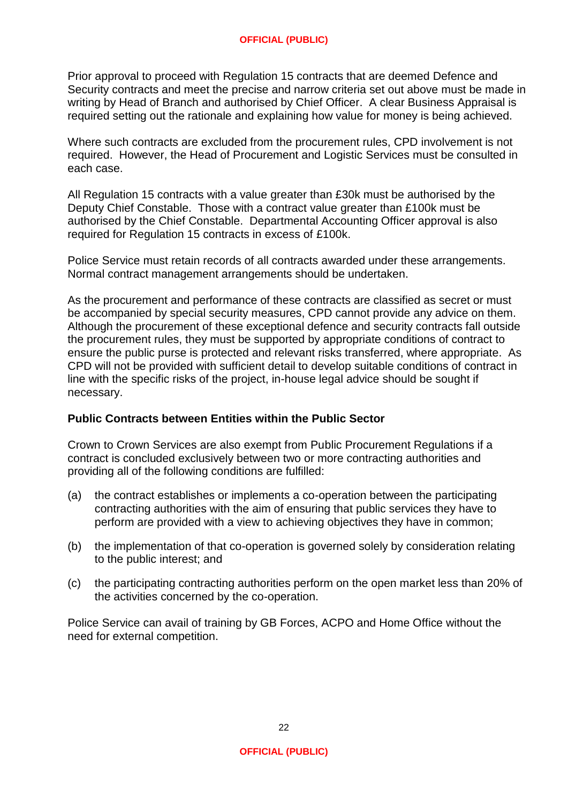Prior approval to proceed with Regulation 15 contracts that are deemed Defence and Security contracts and meet the precise and narrow criteria set out above must be made in writing by Head of Branch and authorised by Chief Officer. A clear Business Appraisal is required setting out the rationale and explaining how value for money is being achieved.

Where such contracts are excluded from the procurement rules, CPD involvement is not required. However, the Head of Procurement and Logistic Services must be consulted in each case.

All Regulation 15 contracts with a value greater than £30k must be authorised by the Deputy Chief Constable. Those with a contract value greater than £100k must be authorised by the Chief Constable. Departmental Accounting Officer approval is also required for Regulation 15 contracts in excess of £100k.

Police Service must retain records of all contracts awarded under these arrangements. Normal contract management arrangements should be undertaken.

As the procurement and performance of these contracts are classified as secret or must be accompanied by special security measures, CPD cannot provide any advice on them. Although the procurement of these exceptional defence and security contracts fall outside the procurement rules, they must be supported by appropriate conditions of contract to ensure the public purse is protected and relevant risks transferred, where appropriate. As CPD will not be provided with sufficient detail to develop suitable conditions of contract in line with the specific risks of the project, in-house legal advice should be sought if necessary.

#### **Public Contracts between Entities within the Public Sector**

Crown to Crown Services are also exempt from Public Procurement Regulations if a contract is concluded exclusively between two or more contracting authorities and providing all of the following conditions are fulfilled:

- (a) the contract establishes or implements a co-operation between the participating contracting authorities with the aim of ensuring that public services they have to perform are provided with a view to achieving objectives they have in common;
- (b) the implementation of that co-operation is governed solely by consideration relating to the public interest; and
- (c) the participating contracting authorities perform on the open market less than 20% of the activities concerned by the co-operation.

Police Service can avail of training by GB Forces, ACPO and Home Office without the need for external competition.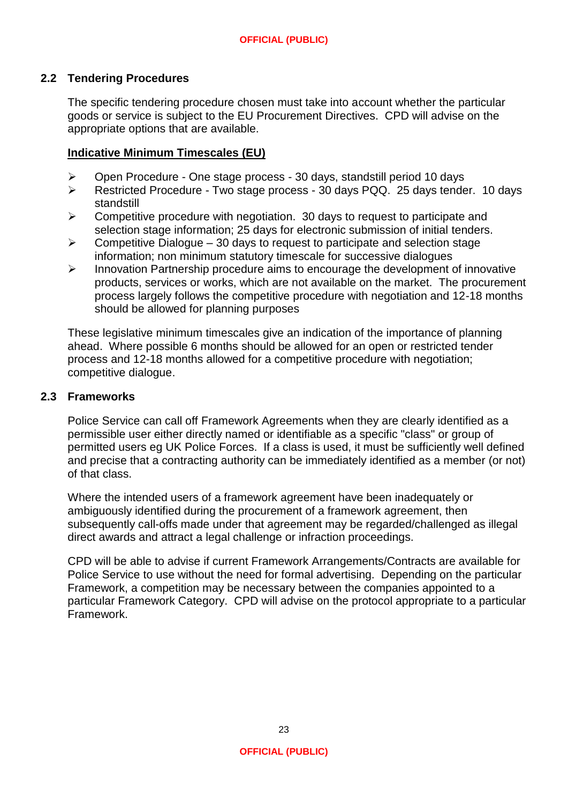# **2.2 Tendering Procedures**

The specific tendering procedure chosen must take into account whether the particular goods or service is subject to the EU Procurement Directives. CPD will advise on the appropriate options that are available.

### **Indicative Minimum Timescales (EU)**

- Open Procedure One stage process 30 days, standstill period 10 days
- Restricted Procedure Two stage process 30 days PQQ. 25 days tender. 10 days standstill
- $\triangleright$  Competitive procedure with negotiation. 30 days to request to participate and selection stage information; 25 days for electronic submission of initial tenders.
- $\triangleright$  Competitive Dialogue 30 days to request to participate and selection stage information; non minimum statutory timescale for successive dialogues
- $\triangleright$  Innovation Partnership procedure aims to encourage the development of innovative products, services or works, which are not available on the market. The procurement process largely follows the competitive procedure with negotiation and 12-18 months should be allowed for planning purposes

These legislative minimum timescales give an indication of the importance of planning ahead. Where possible 6 months should be allowed for an open or restricted tender process and 12-18 months allowed for a competitive procedure with negotiation; competitive dialogue.

#### **2.3 Frameworks**

Police Service can call off Framework Agreements when they are clearly identified as a permissible user either directly named or identifiable as a specific "class" or group of permitted users eg UK Police Forces. If a class is used, it must be sufficiently well defined and precise that a contracting authority can be immediately identified as a member (or not) of that class.

Where the intended users of a framework agreement have been inadequately or ambiguously identified during the procurement of a framework agreement, then subsequently call-offs made under that agreement may be regarded/challenged as illegal direct awards and attract a legal challenge or infraction proceedings.

CPD will be able to advise if current Framework Arrangements/Contracts are available for Police Service to use without the need for formal advertising. Depending on the particular Framework, a competition may be necessary between the companies appointed to a particular Framework Category. CPD will advise on the protocol appropriate to a particular Framework.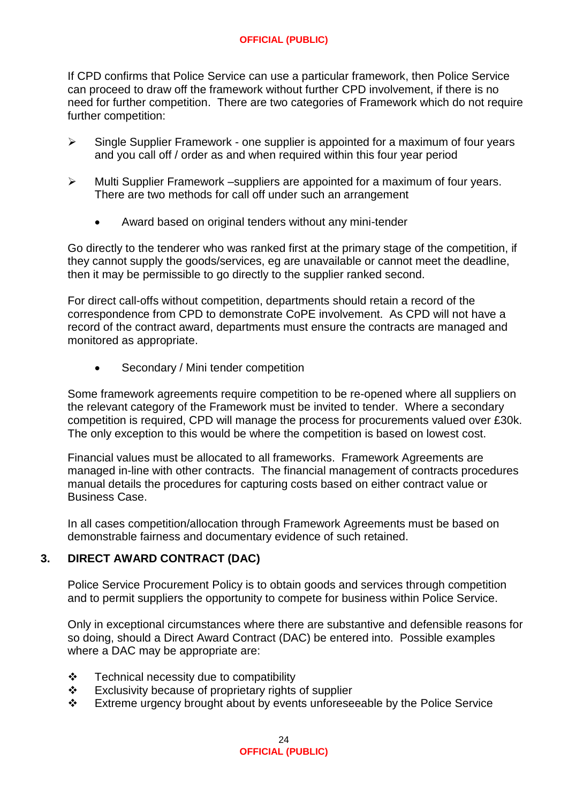If CPD confirms that Police Service can use a particular framework, then Police Service can proceed to draw off the framework without further CPD involvement, if there is no need for further competition. There are two categories of Framework which do not require further competition:

- $\triangleright$  Single Supplier Framework one supplier is appointed for a maximum of four years and you call off / order as and when required within this four year period
- $\triangleright$  Multi Supplier Framework –suppliers are appointed for a maximum of four years. There are two methods for call off under such an arrangement
	- Award based on original tenders without any mini-tender

Go directly to the tenderer who was ranked first at the primary stage of the competition, if they cannot supply the goods/services, eg are unavailable or cannot meet the deadline, then it may be permissible to go directly to the supplier ranked second.

For direct call-offs without competition, departments should retain a record of the correspondence from CPD to demonstrate CoPE involvement. As CPD will not have a record of the contract award, departments must ensure the contracts are managed and monitored as appropriate.

Secondary / Mini tender competition

Some framework agreements require competition to be re-opened where all suppliers on the relevant category of the Framework must be invited to tender. Where a secondary competition is required, CPD will manage the process for procurements valued over £30k. The only exception to this would be where the competition is based on lowest cost.

Financial values must be allocated to all frameworks. Framework Agreements are managed in-line with other contracts. The financial management of contracts procedures manual details the procedures for capturing costs based on either contract value or Business Case.

In all cases competition/allocation through Framework Agreements must be based on demonstrable fairness and documentary evidence of such retained.

# **3. DIRECT AWARD CONTRACT (DAC)**

Police Service Procurement Policy is to obtain goods and services through competition and to permit suppliers the opportunity to compete for business within Police Service.

Only in exceptional circumstances where there are substantive and defensible reasons for so doing, should a Direct Award Contract (DAC) be entered into. Possible examples where a DAC may be appropriate are:

- Technical necessity due to compatibility
- $\div$  Exclusivity because of proprietary rights of supplier
- \* Extreme urgency brought about by events unforeseeable by the Police Service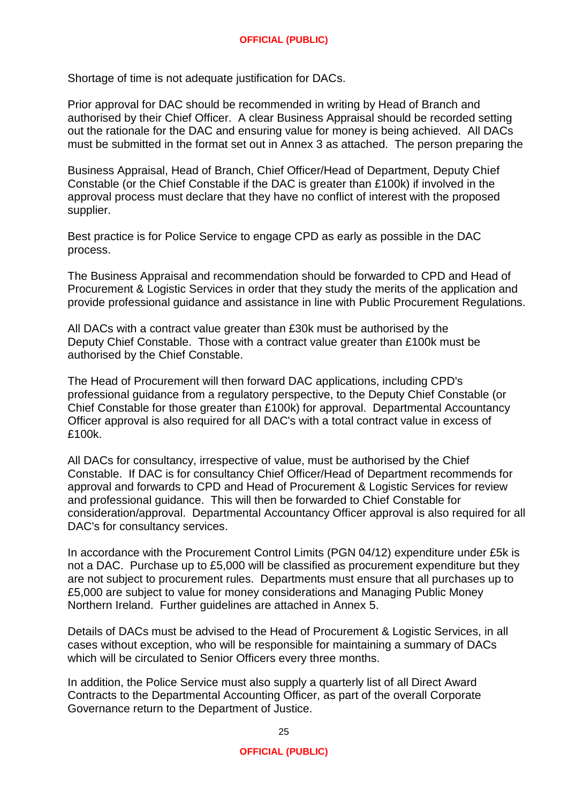Shortage of time is not adequate justification for DACs.

Prior approval for DAC should be recommended in writing by Head of Branch and authorised by their Chief Officer. A clear Business Appraisal should be recorded setting out the rationale for the DAC and ensuring value for money is being achieved. All DACs must be submitted in the format set out in Annex 3 as attached. The person preparing the

Business Appraisal, Head of Branch, Chief Officer/Head of Department, Deputy Chief Constable (or the Chief Constable if the DAC is greater than £100k) if involved in the approval process must declare that they have no conflict of interest with the proposed supplier.

Best practice is for Police Service to engage CPD as early as possible in the DAC process.

The Business Appraisal and recommendation should be forwarded to CPD and Head of Procurement & Logistic Services in order that they study the merits of the application and provide professional guidance and assistance in line with Public Procurement Regulations.

All DACs with a contract value greater than £30k must be authorised by the Deputy Chief Constable. Those with a contract value greater than £100k must be authorised by the Chief Constable.

The Head of Procurement will then forward DAC applications, including CPD's professional guidance from a regulatory perspective, to the Deputy Chief Constable (or Chief Constable for those greater than £100k) for approval. Departmental Accountancy Officer approval is also required for all DAC's with a total contract value in excess of £100k.

All DACs for consultancy, irrespective of value, must be authorised by the Chief Constable. If DAC is for consultancy Chief Officer/Head of Department recommends for approval and forwards to CPD and Head of Procurement & Logistic Services for review and professional guidance. This will then be forwarded to Chief Constable for consideration/approval. Departmental Accountancy Officer approval is also required for all DAC's for consultancy services.

In accordance with the Procurement Control Limits (PGN 04/12) expenditure under £5k is not a DAC. Purchase up to £5,000 will be classified as procurement expenditure but they are not subject to procurement rules. Departments must ensure that all purchases up to £5,000 are subject to value for money considerations and Managing Public Money Northern Ireland. Further guidelines are attached in Annex 5.

Details of DACs must be advised to the Head of Procurement & Logistic Services, in all cases without exception, who will be responsible for maintaining a summary of DACs which will be circulated to Senior Officers every three months.

In addition, the Police Service must also supply a quarterly list of all Direct Award Contracts to the Departmental Accounting Officer, as part of the overall Corporate Governance return to the Department of Justice.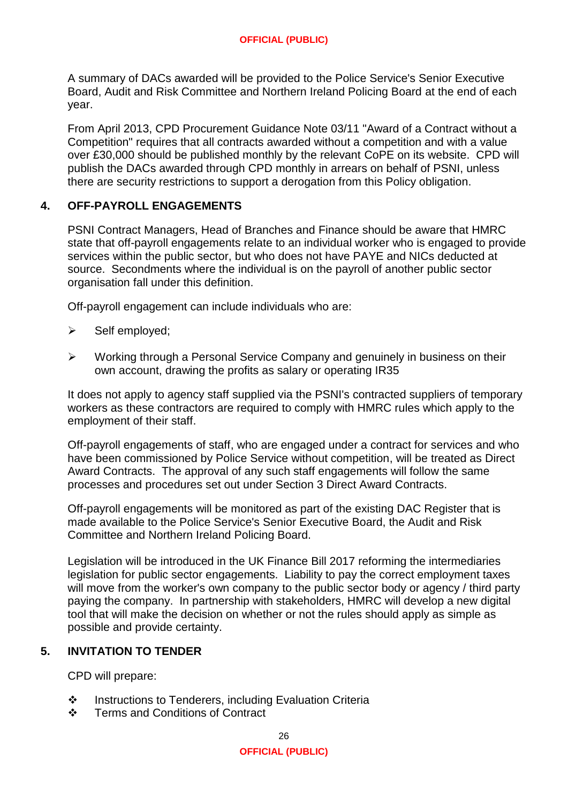A summary of DACs awarded will be provided to the Police Service's Senior Executive Board, Audit and Risk Committee and Northern Ireland Policing Board at the end of each year.

From April 2013, CPD Procurement Guidance Note 03/11 "Award of a Contract without a Competition" requires that all contracts awarded without a competition and with a value over £30,000 should be published monthly by the relevant CoPE on its website. CPD will publish the DACs awarded through CPD monthly in arrears on behalf of PSNI, unless there are security restrictions to support a derogation from this Policy obligation.

#### **4. OFF-PAYROLL ENGAGEMENTS**

PSNI Contract Managers, Head of Branches and Finance should be aware that HMRC state that off-payroll engagements relate to an individual worker who is engaged to provide services within the public sector, but who does not have PAYE and NICs deducted at source. Secondments where the individual is on the payroll of another public sector organisation fall under this definition.

Off-payroll engagement can include individuals who are:

- $\triangleright$  Self employed;
- Working through a Personal Service Company and genuinely in business on their own account, drawing the profits as salary or operating IR35

It does not apply to agency staff supplied via the PSNI's contracted suppliers of temporary workers as these contractors are required to comply with HMRC rules which apply to the employment of their staff.

Off-payroll engagements of staff, who are engaged under a contract for services and who have been commissioned by Police Service without competition, will be treated as Direct Award Contracts. The approval of any such staff engagements will follow the same processes and procedures set out under Section 3 Direct Award Contracts.

Off-payroll engagements will be monitored as part of the existing DAC Register that is made available to the Police Service's Senior Executive Board, the Audit and Risk Committee and Northern Ireland Policing Board.

Legislation will be introduced in the UK Finance Bill 2017 reforming the intermediaries legislation for public sector engagements. Liability to pay the correct employment taxes will move from the worker's own company to the public sector body or agency / third party paying the company. In partnership with stakeholders, HMRC will develop a new digital tool that will make the decision on whether or not the rules should apply as simple as possible and provide certainty.

#### **5. INVITATION TO TENDER**

CPD will prepare:

- ❖ Instructions to Tenderers, including Evaluation Criteria
- Terms and Conditions of Contract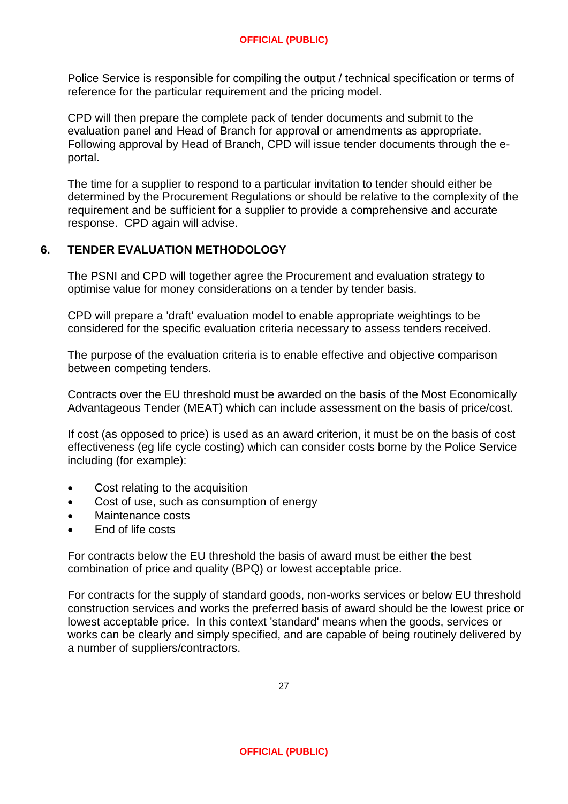Police Service is responsible for compiling the output / technical specification or terms of reference for the particular requirement and the pricing model.

CPD will then prepare the complete pack of tender documents and submit to the evaluation panel and Head of Branch for approval or amendments as appropriate. Following approval by Head of Branch, CPD will issue tender documents through the eportal.

The time for a supplier to respond to a particular invitation to tender should either be determined by the Procurement Regulations or should be relative to the complexity of the requirement and be sufficient for a supplier to provide a comprehensive and accurate response. CPD again will advise.

# **6. TENDER EVALUATION METHODOLOGY**

The PSNI and CPD will together agree the Procurement and evaluation strategy to optimise value for money considerations on a tender by tender basis.

CPD will prepare a 'draft' evaluation model to enable appropriate weightings to be considered for the specific evaluation criteria necessary to assess tenders received.

The purpose of the evaluation criteria is to enable effective and objective comparison between competing tenders.

Contracts over the EU threshold must be awarded on the basis of the Most Economically Advantageous Tender (MEAT) which can include assessment on the basis of price/cost.

If cost (as opposed to price) is used as an award criterion, it must be on the basis of cost effectiveness (eg life cycle costing) which can consider costs borne by the Police Service including (for example):

- Cost relating to the acquisition
- Cost of use, such as consumption of energy
- Maintenance costs
- End of life costs

For contracts below the EU threshold the basis of award must be either the best combination of price and quality (BPQ) or lowest acceptable price.

For contracts for the supply of standard goods, non-works services or below EU threshold construction services and works the preferred basis of award should be the lowest price or lowest acceptable price. In this context 'standard' means when the goods, services or works can be clearly and simply specified, and are capable of being routinely delivered by a number of suppliers/contractors.

27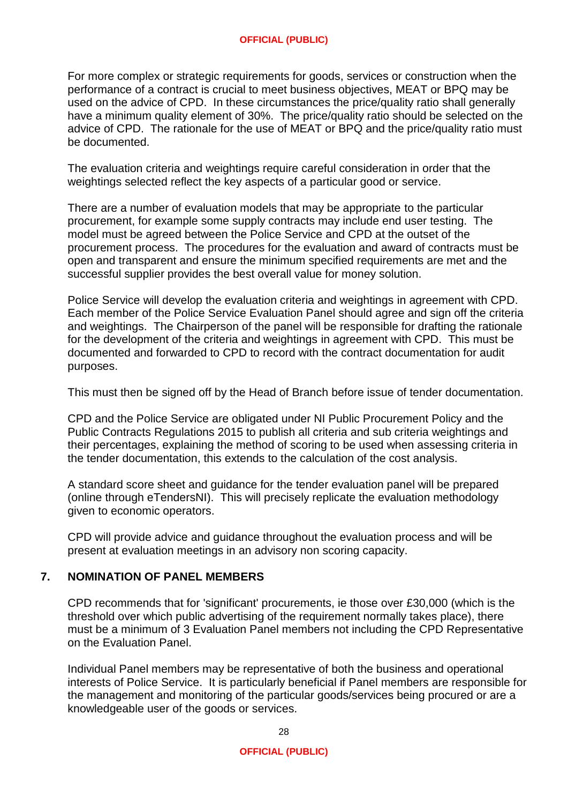For more complex or strategic requirements for goods, services or construction when the performance of a contract is crucial to meet business objectives, MEAT or BPQ may be used on the advice of CPD. In these circumstances the price/quality ratio shall generally have a minimum quality element of 30%. The price/quality ratio should be selected on the advice of CPD. The rationale for the use of MEAT or BPQ and the price/quality ratio must be documented.

The evaluation criteria and weightings require careful consideration in order that the weightings selected reflect the key aspects of a particular good or service.

There are a number of evaluation models that may be appropriate to the particular procurement, for example some supply contracts may include end user testing. The model must be agreed between the Police Service and CPD at the outset of the procurement process. The procedures for the evaluation and award of contracts must be open and transparent and ensure the minimum specified requirements are met and the successful supplier provides the best overall value for money solution.

Police Service will develop the evaluation criteria and weightings in agreement with CPD. Each member of the Police Service Evaluation Panel should agree and sign off the criteria and weightings. The Chairperson of the panel will be responsible for drafting the rationale for the development of the criteria and weightings in agreement with CPD. This must be documented and forwarded to CPD to record with the contract documentation for audit purposes.

This must then be signed off by the Head of Branch before issue of tender documentation.

CPD and the Police Service are obligated under NI Public Procurement Policy and the Public Contracts Regulations 2015 to publish all criteria and sub criteria weightings and their percentages, explaining the method of scoring to be used when assessing criteria in the tender documentation, this extends to the calculation of the cost analysis.

A standard score sheet and guidance for the tender evaluation panel will be prepared (online through eTendersNI). This will precisely replicate the evaluation methodology given to economic operators.

CPD will provide advice and guidance throughout the evaluation process and will be present at evaluation meetings in an advisory non scoring capacity.

# **7. NOMINATION OF PANEL MEMBERS**

CPD recommends that for 'significant' procurements, ie those over £30,000 (which is the threshold over which public advertising of the requirement normally takes place), there must be a minimum of 3 Evaluation Panel members not including the CPD Representative on the Evaluation Panel.

Individual Panel members may be representative of both the business and operational interests of Police Service. It is particularly beneficial if Panel members are responsible for the management and monitoring of the particular goods/services being procured or are a knowledgeable user of the goods or services.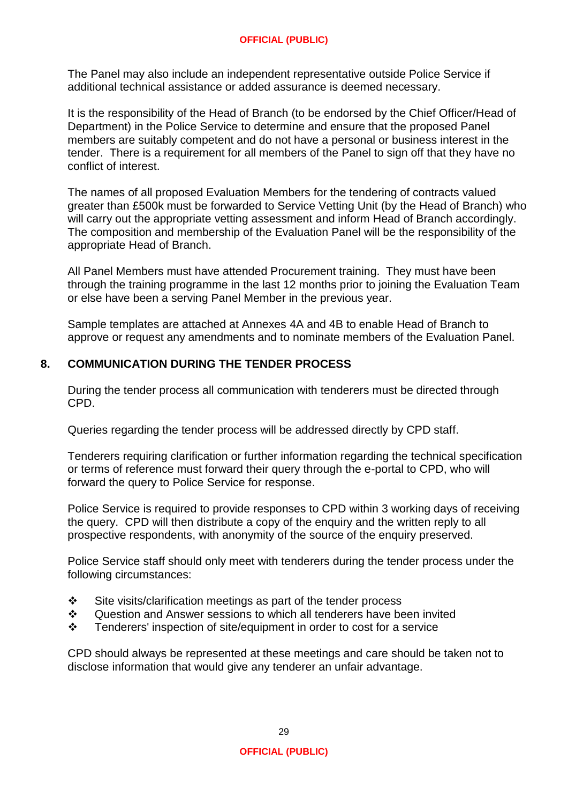The Panel may also include an independent representative outside Police Service if additional technical assistance or added assurance is deemed necessary.

It is the responsibility of the Head of Branch (to be endorsed by the Chief Officer/Head of Department) in the Police Service to determine and ensure that the proposed Panel members are suitably competent and do not have a personal or business interest in the tender. There is a requirement for all members of the Panel to sign off that they have no conflict of interest.

The names of all proposed Evaluation Members for the tendering of contracts valued greater than £500k must be forwarded to Service Vetting Unit (by the Head of Branch) who will carry out the appropriate vetting assessment and inform Head of Branch accordingly. The composition and membership of the Evaluation Panel will be the responsibility of the appropriate Head of Branch.

All Panel Members must have attended Procurement training. They must have been through the training programme in the last 12 months prior to joining the Evaluation Team or else have been a serving Panel Member in the previous year.

Sample templates are attached at Annexes 4A and 4B to enable Head of Branch to approve or request any amendments and to nominate members of the Evaluation Panel.

## **8. COMMUNICATION DURING THE TENDER PROCESS**

During the tender process all communication with tenderers must be directed through CPD.

Queries regarding the tender process will be addressed directly by CPD staff.

Tenderers requiring clarification or further information regarding the technical specification or terms of reference must forward their query through the e-portal to CPD, who will forward the query to Police Service for response.

Police Service is required to provide responses to CPD within 3 working days of receiving the query. CPD will then distribute a copy of the enquiry and the written reply to all prospective respondents, with anonymity of the source of the enquiry preserved.

Police Service staff should only meet with tenderers during the tender process under the following circumstances:

- $\div$  Site visits/clarification meetings as part of the tender process
- Question and Answer sessions to which all tenderers have been invited
- $\div$  Tenderers' inspection of site/equipment in order to cost for a service

CPD should always be represented at these meetings and care should be taken not to disclose information that would give any tenderer an unfair advantage.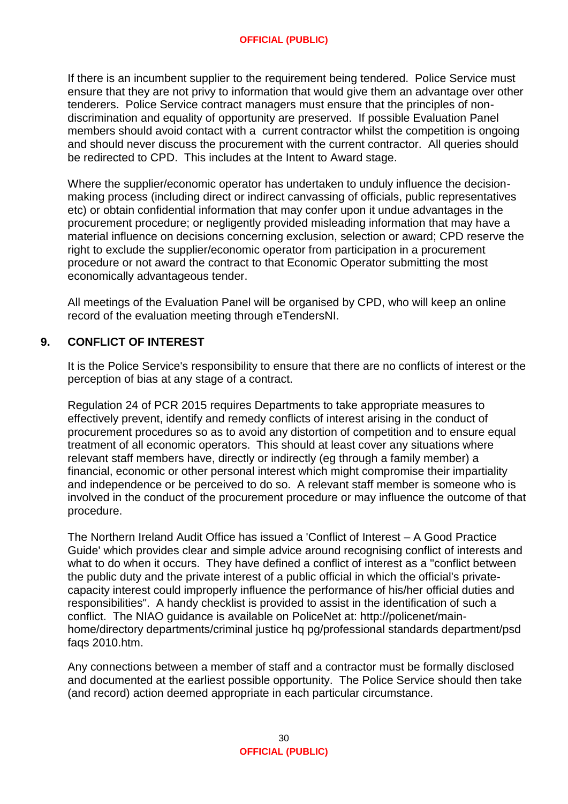If there is an incumbent supplier to the requirement being tendered. Police Service must ensure that they are not privy to information that would give them an advantage over other tenderers. Police Service contract managers must ensure that the principles of nondiscrimination and equality of opportunity are preserved. If possible Evaluation Panel members should avoid contact with a current contractor whilst the competition is ongoing and should never discuss the procurement with the current contractor. All queries should be redirected to CPD. This includes at the Intent to Award stage.

Where the supplier/economic operator has undertaken to unduly influence the decisionmaking process (including direct or indirect canvassing of officials, public representatives etc) or obtain confidential information that may confer upon it undue advantages in the procurement procedure; or negligently provided misleading information that may have a material influence on decisions concerning exclusion, selection or award; CPD reserve the right to exclude the supplier/economic operator from participation in a procurement procedure or not award the contract to that Economic Operator submitting the most economically advantageous tender.

All meetings of the Evaluation Panel will be organised by CPD, who will keep an online record of the evaluation meeting through eTendersNI.

## **9. CONFLICT OF INTEREST**

It is the Police Service's responsibility to ensure that there are no conflicts of interest or the perception of bias at any stage of a contract.

Regulation 24 of PCR 2015 requires Departments to take appropriate measures to effectively prevent, identify and remedy conflicts of interest arising in the conduct of procurement procedures so as to avoid any distortion of competition and to ensure equal treatment of all economic operators. This should at least cover any situations where relevant staff members have, directly or indirectly (eg through a family member) a financial, economic or other personal interest which might compromise their impartiality and independence or be perceived to do so. A relevant staff member is someone who is involved in the conduct of the procurement procedure or may influence the outcome of that procedure.

The Northern Ireland Audit Office has issued a 'Conflict of Interest – A Good Practice Guide' which provides clear and simple advice around recognising conflict of interests and what to do when it occurs. They have defined a conflict of interest as a "conflict between the public duty and the private interest of a public official in which the official's privatecapacity interest could improperly influence the performance of his/her official duties and responsibilities". A handy checklist is provided to assist in the identification of such a conflict. The NIAO guidance is available on PoliceNet at: http://policenet/mainhome/directory departments/criminal justice hq pg/professional standards department/psd faqs 2010.htm.

Any connections between a member of staff and a contractor must be formally disclosed and documented at the earliest possible opportunity. The Police Service should then take (and record) action deemed appropriate in each particular circumstance.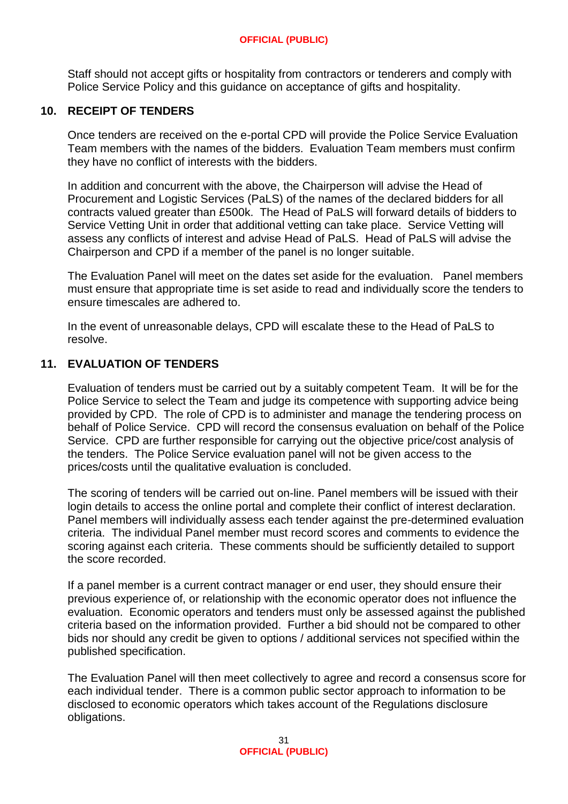Staff should not accept gifts or hospitality from contractors or tenderers and comply with Police Service Policy and this guidance on acceptance of gifts and hospitality.

## **10. RECEIPT OF TENDERS**

Once tenders are received on the e-portal CPD will provide the Police Service Evaluation Team members with the names of the bidders. Evaluation Team members must confirm they have no conflict of interests with the bidders.

In addition and concurrent with the above, the Chairperson will advise the Head of Procurement and Logistic Services (PaLS) of the names of the declared bidders for all contracts valued greater than £500k. The Head of PaLS will forward details of bidders to Service Vetting Unit in order that additional vetting can take place. Service Vetting will assess any conflicts of interest and advise Head of PaLS. Head of PaLS will advise the Chairperson and CPD if a member of the panel is no longer suitable.

The Evaluation Panel will meet on the dates set aside for the evaluation. Panel members must ensure that appropriate time is set aside to read and individually score the tenders to ensure timescales are adhered to.

In the event of unreasonable delays, CPD will escalate these to the Head of PaLS to resolve.

## **11. EVALUATION OF TENDERS**

Evaluation of tenders must be carried out by a suitably competent Team. It will be for the Police Service to select the Team and judge its competence with supporting advice being provided by CPD. The role of CPD is to administer and manage the tendering process on behalf of Police Service. CPD will record the consensus evaluation on behalf of the Police Service. CPD are further responsible for carrying out the objective price/cost analysis of the tenders. The Police Service evaluation panel will not be given access to the prices/costs until the qualitative evaluation is concluded.

The scoring of tenders will be carried out on-line. Panel members will be issued with their login details to access the online portal and complete their conflict of interest declaration. Panel members will individually assess each tender against the pre-determined evaluation criteria. The individual Panel member must record scores and comments to evidence the scoring against each criteria. These comments should be sufficiently detailed to support the score recorded.

If a panel member is a current contract manager or end user, they should ensure their previous experience of, or relationship with the economic operator does not influence the evaluation. Economic operators and tenders must only be assessed against the published criteria based on the information provided. Further a bid should not be compared to other bids nor should any credit be given to options / additional services not specified within the published specification.

The Evaluation Panel will then meet collectively to agree and record a consensus score for each individual tender. There is a common public sector approach to information to be disclosed to economic operators which takes account of the Regulations disclosure obligations.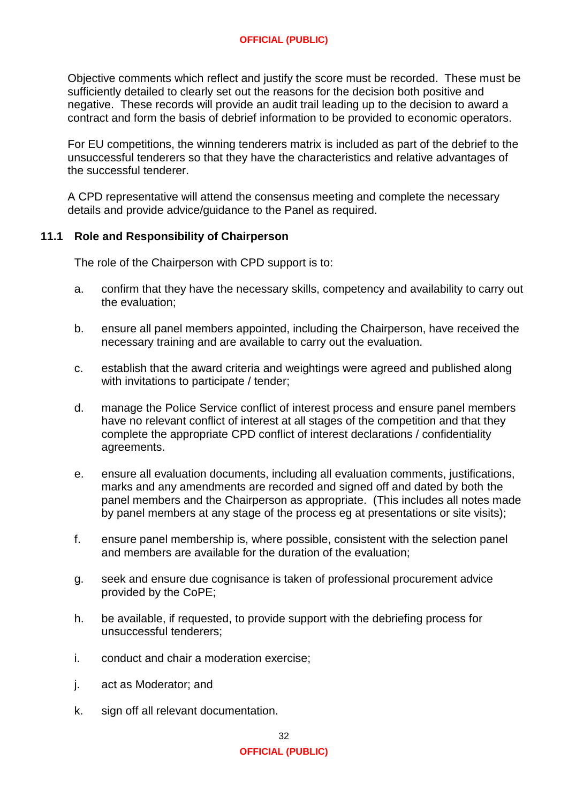Objective comments which reflect and justify the score must be recorded. These must be sufficiently detailed to clearly set out the reasons for the decision both positive and negative. These records will provide an audit trail leading up to the decision to award a contract and form the basis of debrief information to be provided to economic operators.

For EU competitions, the winning tenderers matrix is included as part of the debrief to the unsuccessful tenderers so that they have the characteristics and relative advantages of the successful tenderer.

A CPD representative will attend the consensus meeting and complete the necessary details and provide advice/guidance to the Panel as required.

#### **11.1 Role and Responsibility of Chairperson**

The role of the Chairperson with CPD support is to:

- a. confirm that they have the necessary skills, competency and availability to carry out the evaluation;
- b. ensure all panel members appointed, including the Chairperson, have received the necessary training and are available to carry out the evaluation.
- c. establish that the award criteria and weightings were agreed and published along with invitations to participate / tender;
- d. manage the Police Service conflict of interest process and ensure panel members have no relevant conflict of interest at all stages of the competition and that they complete the appropriate CPD conflict of interest declarations / confidentiality agreements.
- e. ensure all evaluation documents, including all evaluation comments, justifications, marks and any amendments are recorded and signed off and dated by both the panel members and the Chairperson as appropriate. (This includes all notes made by panel members at any stage of the process eg at presentations or site visits);
- f. ensure panel membership is, where possible, consistent with the selection panel and members are available for the duration of the evaluation;
- g. seek and ensure due cognisance is taken of professional procurement advice provided by the CoPE;
- h. be available, if requested, to provide support with the debriefing process for unsuccessful tenderers;
- i. conduct and chair a moderation exercise;
- j. act as Moderator; and
- k. sign off all relevant documentation.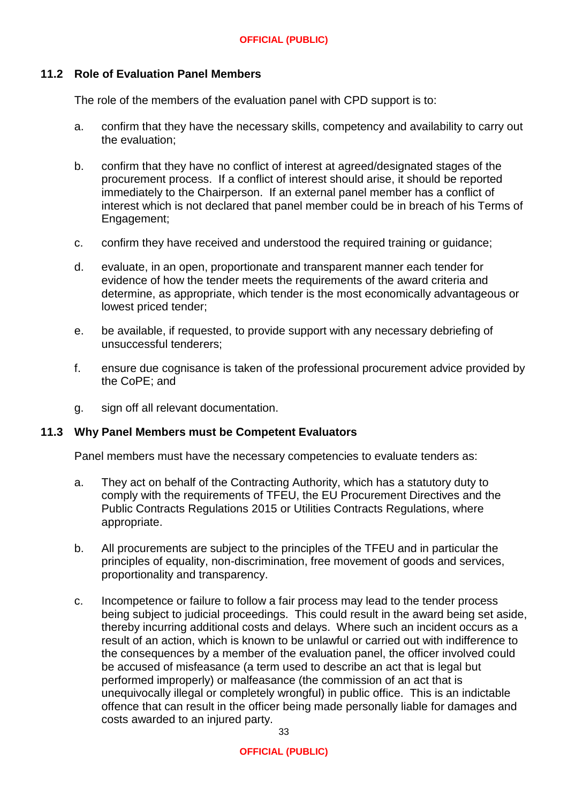#### **11.2 Role of Evaluation Panel Members**

The role of the members of the evaluation panel with CPD support is to:

- a. confirm that they have the necessary skills, competency and availability to carry out the evaluation;
- b. confirm that they have no conflict of interest at agreed/designated stages of the procurement process. If a conflict of interest should arise, it should be reported immediately to the Chairperson. If an external panel member has a conflict of interest which is not declared that panel member could be in breach of his Terms of Engagement;
- c. confirm they have received and understood the required training or guidance;
- d. evaluate, in an open, proportionate and transparent manner each tender for evidence of how the tender meets the requirements of the award criteria and determine, as appropriate, which tender is the most economically advantageous or lowest priced tender;
- e. be available, if requested, to provide support with any necessary debriefing of unsuccessful tenderers;
- f. ensure due cognisance is taken of the professional procurement advice provided by the CoPE; and
- g. sign off all relevant documentation.

#### **11.3 Why Panel Members must be Competent Evaluators**

Panel members must have the necessary competencies to evaluate tenders as:

- a. They act on behalf of the Contracting Authority, which has a statutory duty to comply with the requirements of TFEU, the EU Procurement Directives and the Public Contracts Regulations 2015 or Utilities Contracts Regulations, where appropriate.
- b. All procurements are subject to the principles of the TFEU and in particular the principles of equality, non-discrimination, free movement of goods and services, proportionality and transparency.
- c. Incompetence or failure to follow a fair process may lead to the tender process being subject to judicial proceedings. This could result in the award being set aside, thereby incurring additional costs and delays. Where such an incident occurs as a result of an action, which is known to be unlawful or carried out with indifference to the consequences by a member of the evaluation panel, the officer involved could be accused of misfeasance (a term used to describe an act that is legal but performed improperly) or malfeasance (the commission of an act that is unequivocally illegal or completely wrongful) in public office. This is an indictable offence that can result in the officer being made personally liable for damages and costs awarded to an injured party.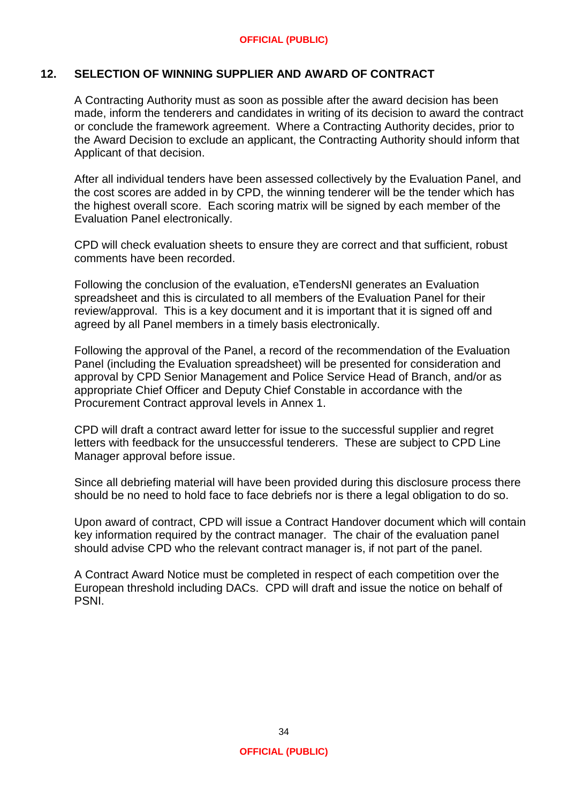## **12. SELECTION OF WINNING SUPPLIER AND AWARD OF CONTRACT**

A Contracting Authority must as soon as possible after the award decision has been made, inform the tenderers and candidates in writing of its decision to award the contract or conclude the framework agreement. Where a Contracting Authority decides, prior to the Award Decision to exclude an applicant, the Contracting Authority should inform that Applicant of that decision.

After all individual tenders have been assessed collectively by the Evaluation Panel, and the cost scores are added in by CPD, the winning tenderer will be the tender which has the highest overall score. Each scoring matrix will be signed by each member of the Evaluation Panel electronically.

CPD will check evaluation sheets to ensure they are correct and that sufficient, robust comments have been recorded.

Following the conclusion of the evaluation, eTendersNI generates an Evaluation spreadsheet and this is circulated to all members of the Evaluation Panel for their review/approval. This is a key document and it is important that it is signed off and agreed by all Panel members in a timely basis electronically.

Following the approval of the Panel, a record of the recommendation of the Evaluation Panel (including the Evaluation spreadsheet) will be presented for consideration and approval by CPD Senior Management and Police Service Head of Branch, and/or as appropriate Chief Officer and Deputy Chief Constable in accordance with the Procurement Contract approval levels in Annex 1.

CPD will draft a contract award letter for issue to the successful supplier and regret letters with feedback for the unsuccessful tenderers. These are subject to CPD Line Manager approval before issue.

Since all debriefing material will have been provided during this disclosure process there should be no need to hold face to face debriefs nor is there a legal obligation to do so.

Upon award of contract, CPD will issue a Contract Handover document which will contain key information required by the contract manager. The chair of the evaluation panel should advise CPD who the relevant contract manager is, if not part of the panel.

A Contract Award Notice must be completed in respect of each competition over the European threshold including DACs. CPD will draft and issue the notice on behalf of PSNI.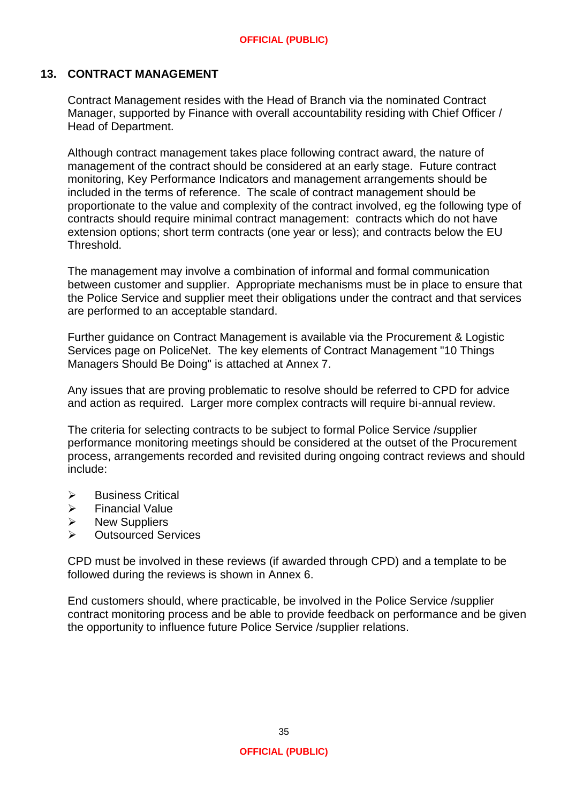### **13. CONTRACT MANAGEMENT**

Contract Management resides with the Head of Branch via the nominated Contract Manager, supported by Finance with overall accountability residing with Chief Officer / Head of Department.

Although contract management takes place following contract award, the nature of management of the contract should be considered at an early stage. Future contract monitoring, Key Performance Indicators and management arrangements should be included in the terms of reference. The scale of contract management should be proportionate to the value and complexity of the contract involved, eg the following type of contracts should require minimal contract management: contracts which do not have extension options; short term contracts (one year or less); and contracts below the EU Threshold.

The management may involve a combination of informal and formal communication between customer and supplier. Appropriate mechanisms must be in place to ensure that the Police Service and supplier meet their obligations under the contract and that services are performed to an acceptable standard.

Further guidance on Contract Management is available via the Procurement & Logistic Services page on PoliceNet. The key elements of Contract Management "10 Things Managers Should Be Doing" is attached at Annex 7.

Any issues that are proving problematic to resolve should be referred to CPD for advice and action as required. Larger more complex contracts will require bi-annual review.

The criteria for selecting contracts to be subject to formal Police Service /supplier performance monitoring meetings should be considered at the outset of the Procurement process, arrangements recorded and revisited during ongoing contract reviews and should include:

- $\triangleright$  Business Critical
- $\triangleright$  Financial Value
- $\triangleright$  New Suppliers
- Outsourced Services

CPD must be involved in these reviews (if awarded through CPD) and a template to be followed during the reviews is shown in Annex 6.

End customers should, where practicable, be involved in the Police Service /supplier contract monitoring process and be able to provide feedback on performance and be given the opportunity to influence future Police Service /supplier relations.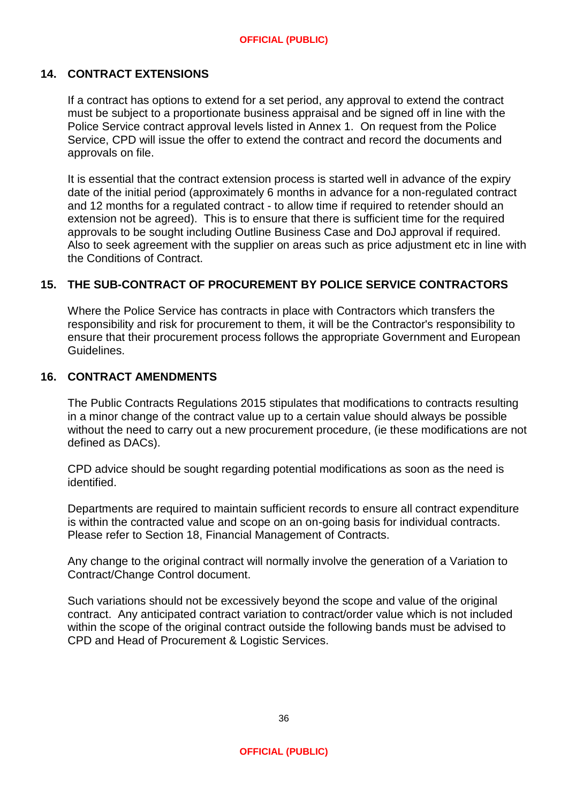#### **14. CONTRACT EXTENSIONS**

If a contract has options to extend for a set period, any approval to extend the contract must be subject to a proportionate business appraisal and be signed off in line with the Police Service contract approval levels listed in Annex 1. On request from the Police Service, CPD will issue the offer to extend the contract and record the documents and approvals on file.

It is essential that the contract extension process is started well in advance of the expiry date of the initial period (approximately 6 months in advance for a non-regulated contract and 12 months for a regulated contract - to allow time if required to retender should an extension not be agreed). This is to ensure that there is sufficient time for the required approvals to be sought including Outline Business Case and DoJ approval if required. Also to seek agreement with the supplier on areas such as price adjustment etc in line with the Conditions of Contract.

#### **15. THE SUB-CONTRACT OF PROCUREMENT BY POLICE SERVICE CONTRACTORS**

Where the Police Service has contracts in place with Contractors which transfers the responsibility and risk for procurement to them, it will be the Contractor's responsibility to ensure that their procurement process follows the appropriate Government and European Guidelines.

#### **16. CONTRACT AMENDMENTS**

The Public Contracts Regulations 2015 stipulates that modifications to contracts resulting in a minor change of the contract value up to a certain value should always be possible without the need to carry out a new procurement procedure, (ie these modifications are not defined as DACs).

CPD advice should be sought regarding potential modifications as soon as the need is identified.

Departments are required to maintain sufficient records to ensure all contract expenditure is within the contracted value and scope on an on-going basis for individual contracts. Please refer to Section 18, Financial Management of Contracts.

Any change to the original contract will normally involve the generation of a Variation to Contract/Change Control document.

Such variations should not be excessively beyond the scope and value of the original contract. Any anticipated contract variation to contract/order value which is not included within the scope of the original contract outside the following bands must be advised to CPD and Head of Procurement & Logistic Services.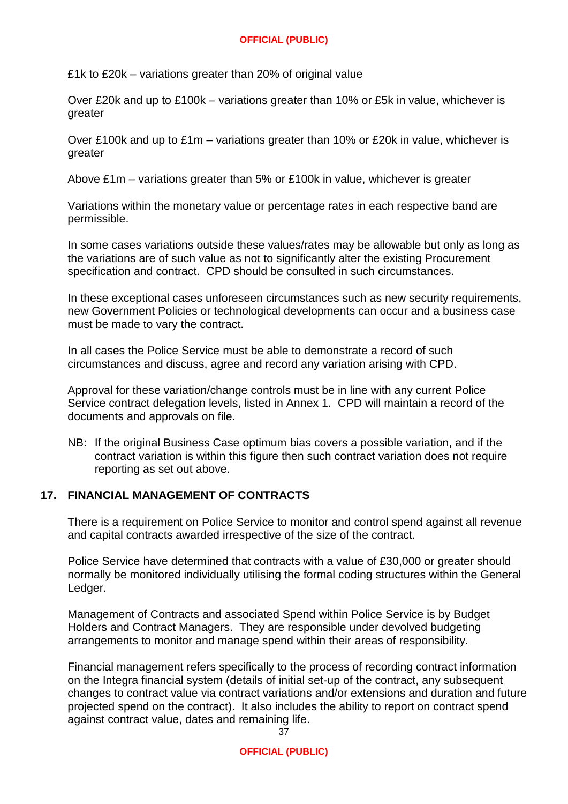£1k to £20k – variations greater than 20% of original value

Over £20k and up to £100k – variations greater than 10% or £5k in value, whichever is greater

Over £100k and up to £1m – variations greater than 10% or £20k in value, whichever is greater

Above £1m – variations greater than 5% or £100k in value, whichever is greater

Variations within the monetary value or percentage rates in each respective band are permissible.

In some cases variations outside these values/rates may be allowable but only as long as the variations are of such value as not to significantly alter the existing Procurement specification and contract. CPD should be consulted in such circumstances.

In these exceptional cases unforeseen circumstances such as new security requirements, new Government Policies or technological developments can occur and a business case must be made to vary the contract.

In all cases the Police Service must be able to demonstrate a record of such circumstances and discuss, agree and record any variation arising with CPD.

Approval for these variation/change controls must be in line with any current Police Service contract delegation levels, listed in Annex 1. CPD will maintain a record of the documents and approvals on file.

NB: If the original Business Case optimum bias covers a possible variation, and if the contract variation is within this figure then such contract variation does not require reporting as set out above.

#### **17. FINANCIAL MANAGEMENT OF CONTRACTS**

There is a requirement on Police Service to monitor and control spend against all revenue and capital contracts awarded irrespective of the size of the contract.

Police Service have determined that contracts with a value of £30,000 or greater should normally be monitored individually utilising the formal coding structures within the General Ledger.

Management of Contracts and associated Spend within Police Service is by Budget Holders and Contract Managers. They are responsible under devolved budgeting arrangements to monitor and manage spend within their areas of responsibility.

Financial management refers specifically to the process of recording contract information on the Integra financial system (details of initial set-up of the contract, any subsequent changes to contract value via contract variations and/or extensions and duration and future projected spend on the contract). It also includes the ability to report on contract spend against contract value, dates and remaining life. 37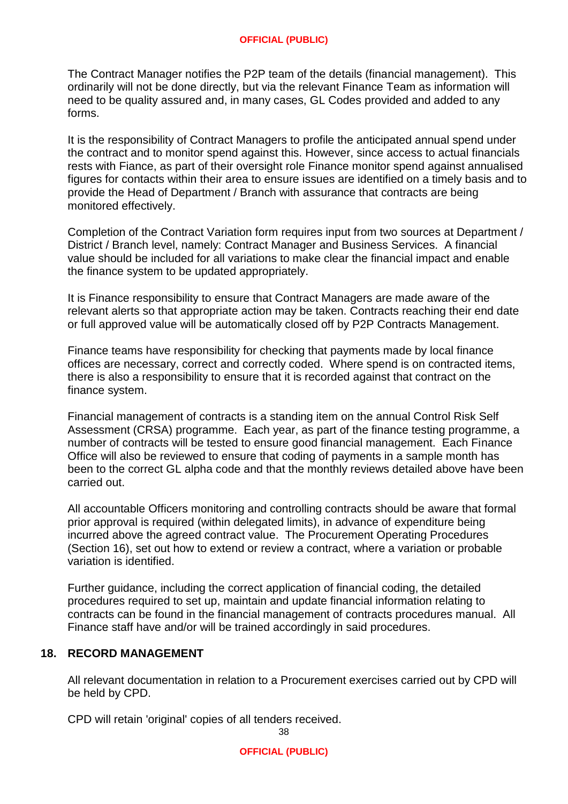The Contract Manager notifies the P2P team of the details (financial management). This ordinarily will not be done directly, but via the relevant Finance Team as information will need to be quality assured and, in many cases, GL Codes provided and added to any forms.

It is the responsibility of Contract Managers to profile the anticipated annual spend under the contract and to monitor spend against this. However, since access to actual financials rests with Fiance, as part of their oversight role Finance monitor spend against annualised figures for contacts within their area to ensure issues are identified on a timely basis and to provide the Head of Department / Branch with assurance that contracts are being monitored effectively.

Completion of the Contract Variation form requires input from two sources at Department / District / Branch level, namely: Contract Manager and Business Services. A financial value should be included for all variations to make clear the financial impact and enable the finance system to be updated appropriately.

It is Finance responsibility to ensure that Contract Managers are made aware of the relevant alerts so that appropriate action may be taken. Contracts reaching their end date or full approved value will be automatically closed off by P2P Contracts Management.

Finance teams have responsibility for checking that payments made by local finance offices are necessary, correct and correctly coded. Where spend is on contracted items, there is also a responsibility to ensure that it is recorded against that contract on the finance system.

Financial management of contracts is a standing item on the annual Control Risk Self Assessment (CRSA) programme. Each year, as part of the finance testing programme, a number of contracts will be tested to ensure good financial management. Each Finance Office will also be reviewed to ensure that coding of payments in a sample month has been to the correct GL alpha code and that the monthly reviews detailed above have been carried out.

All accountable Officers monitoring and controlling contracts should be aware that formal prior approval is required (within delegated limits), in advance of expenditure being incurred above the agreed contract value. The Procurement Operating Procedures (Section 16), set out how to extend or review a contract, where a variation or probable variation is identified.

Further guidance, including the correct application of financial coding, the detailed procedures required to set up, maintain and update financial information relating to contracts can be found in the financial management of contracts procedures manual. All Finance staff have and/or will be trained accordingly in said procedures.

# **18. RECORD MANAGEMENT**

All relevant documentation in relation to a Procurement exercises carried out by CPD will be held by CPD.

CPD will retain 'original' copies of all tenders received.

38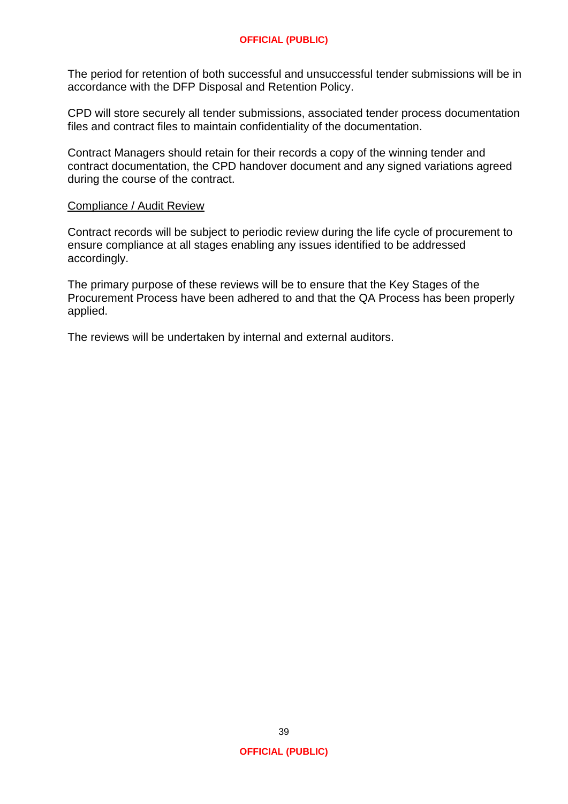The period for retention of both successful and unsuccessful tender submissions will be in accordance with the DFP Disposal and Retention Policy.

CPD will store securely all tender submissions, associated tender process documentation files and contract files to maintain confidentiality of the documentation.

Contract Managers should retain for their records a copy of the winning tender and contract documentation, the CPD handover document and any signed variations agreed during the course of the contract.

#### Compliance / Audit Review

Contract records will be subject to periodic review during the life cycle of procurement to ensure compliance at all stages enabling any issues identified to be addressed accordingly.

The primary purpose of these reviews will be to ensure that the Key Stages of the Procurement Process have been adhered to and that the QA Process has been properly applied.

The reviews will be undertaken by internal and external auditors.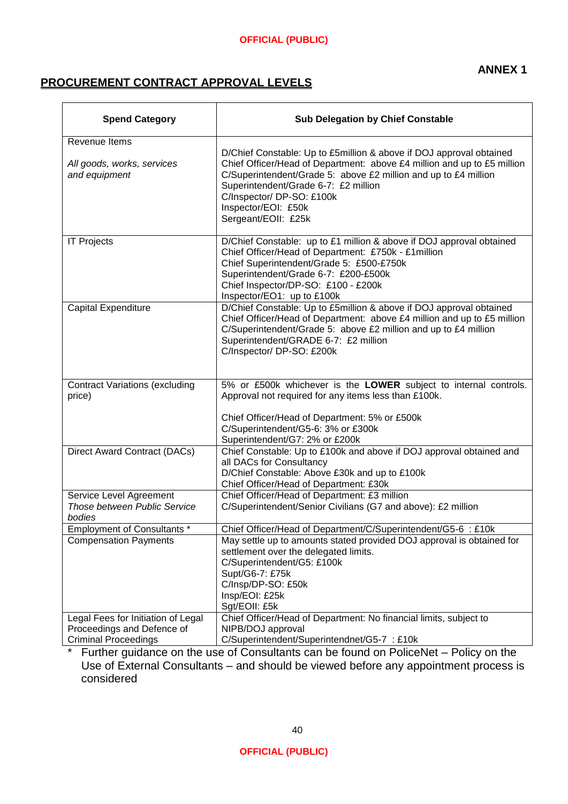# **PROCUREMENT CONTRACT APPROVAL LEVELS**

| <b>Spend Category</b>                                             | <b>Sub Delegation by Chief Constable</b>                                                                                                                                                                                                                                                                                             |  |  |
|-------------------------------------------------------------------|--------------------------------------------------------------------------------------------------------------------------------------------------------------------------------------------------------------------------------------------------------------------------------------------------------------------------------------|--|--|
| Revenue Items                                                     |                                                                                                                                                                                                                                                                                                                                      |  |  |
| All goods, works, services<br>and equipment                       | D/Chief Constable: Up to £5million & above if DOJ approval obtained<br>Chief Officer/Head of Department: above £4 million and up to £5 million<br>C/Superintendent/Grade 5: above £2 million and up to £4 million<br>Superintendent/Grade 6-7: £2 million<br>C/Inspector/ DP-SO: £100k<br>Inspector/EOI: £50k<br>Sergeant/EOII: £25k |  |  |
| <b>IT Projects</b>                                                | D/Chief Constable: up to £1 million & above if DOJ approval obtained<br>Chief Officer/Head of Department: £750k - £1 million<br>Chief Superintendent/Grade 5: £500-£750k<br>Superintendent/Grade 6-7: £200-£500k<br>Chief Inspector/DP-SO: £100 - £200k<br>Inspector/EO1: up to £100k                                                |  |  |
| <b>Capital Expenditure</b>                                        | D/Chief Constable: Up to £5million & above if DOJ approval obtained<br>Chief Officer/Head of Department: above £4 million and up to £5 million<br>C/Superintendent/Grade 5: above £2 million and up to £4 million<br>Superintendent/GRADE 6-7: £2 million<br>C/Inspector/ DP-SO: £200k                                               |  |  |
| <b>Contract Variations (excluding</b><br>price)                   | 5% or £500k whichever is the LOWER subject to internal controls.<br>Approval not required for any items less than £100k.                                                                                                                                                                                                             |  |  |
|                                                                   | Chief Officer/Head of Department: 5% or £500k<br>C/Superintendent/G5-6: 3% or £300k<br>Superintendent/G7: 2% or £200k                                                                                                                                                                                                                |  |  |
| Direct Award Contract (DACs)                                      | Chief Constable: Up to £100k and above if DOJ approval obtained and<br>all DACs for Consultancy<br>D/Chief Constable: Above £30k and up to £100k                                                                                                                                                                                     |  |  |
|                                                                   | Chief Officer/Head of Department: £30k                                                                                                                                                                                                                                                                                               |  |  |
| Service Level Agreement<br>Those between Public Service<br>bodies | Chief Officer/Head of Department: £3 million<br>C/Superintendent/Senior Civilians (G7 and above): £2 million                                                                                                                                                                                                                         |  |  |
| Employment of Consultants *                                       | Chief Officer/Head of Department/C/Superintendent/G5-6 : £10k                                                                                                                                                                                                                                                                        |  |  |
| <b>Compensation Payments</b>                                      | May settle up to amounts stated provided DOJ approval is obtained for<br>settlement over the delegated limits.<br>C/Superintendent/G5: £100k<br>Supt/G6-7: £75k<br>C/Insp/DP-SO: £50k<br>Insp/EOI: £25k<br>Sgt/EOII: £5k                                                                                                             |  |  |
| Legal Fees for Initiation of Legal                                | Chief Officer/Head of Department: No financial limits, subject to                                                                                                                                                                                                                                                                    |  |  |
| Proceedings and Defence of                                        | NIPB/DOJ approval                                                                                                                                                                                                                                                                                                                    |  |  |
| <b>Criminal Proceedings</b>                                       | C/Superintendent/Superintendnet/G5-7 : £10k                                                                                                                                                                                                                                                                                          |  |  |

\* Further guidance on the use of Consultants can be found on PoliceNet – Policy on the Use of External Consultants – and should be viewed before any appointment process is considered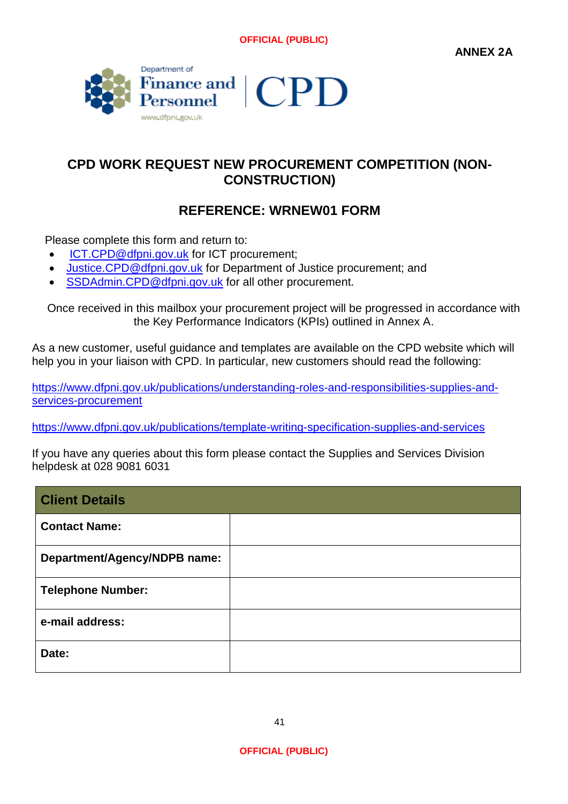

# **CPD WORK REQUEST NEW PROCUREMENT COMPETITION (NON-CONSTRUCTION)**

# **REFERENCE: WRNEW01 FORM**

Please complete this form and return to:

- [ICT.CPD@dfpni.gov.uk](mailto:ICT.CPD@dfpni.gov.uk) for ICT procurement;
- [Justice.CPD@dfpni.gov.uk](mailto:Justice.CPD@dfpni.gov.uk) for Department of Justice procurement; and
- [SSDAdmin.CPD@dfpni.gov.uk](mailto:SSDAdmin.CPD@dfpni.gov.uk) for all other procurement.

Once received in this mailbox your procurement project will be progressed in accordance with the Key Performance Indicators (KPIs) outlined in Annex A.

As a new customer, useful guidance and templates are available on the CPD website which will help you in your liaison with CPD. In particular, new customers should read the following:

[https://www.dfpni.gov.uk/publications/understanding-roles-and-responsibilities-supplies-and](https://www.dfpni.gov.uk/publications/understanding-roles-and-responsibilities-supplies-and-services-procurement)[services-procurement](https://www.dfpni.gov.uk/publications/understanding-roles-and-responsibilities-supplies-and-services-procurement)

<https://www.dfpni.gov.uk/publications/template-writing-specification-supplies-and-services>

If you have any queries about this form please contact the Supplies and Services Division helpdesk at 028 9081 6031

| <b>Client Details</b>        |  |
|------------------------------|--|
| <b>Contact Name:</b>         |  |
| Department/Agency/NDPB name: |  |
| <b>Telephone Number:</b>     |  |
| e-mail address:              |  |
| Date:                        |  |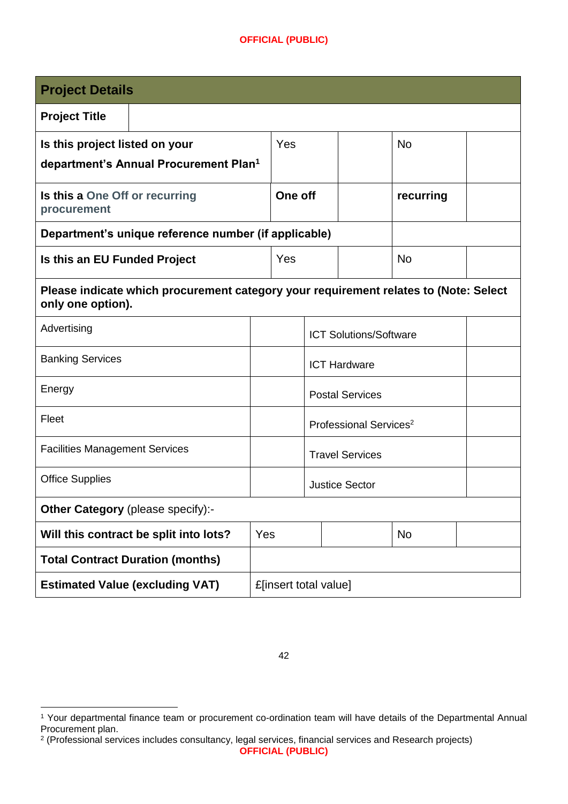| <b>Project Details</b>                                                                                    |                                    |                     |  |  |           |  |
|-----------------------------------------------------------------------------------------------------------|------------------------------------|---------------------|--|--|-----------|--|
| <b>Project Title</b>                                                                                      |                                    |                     |  |  |           |  |
| Is this project listed on your                                                                            |                                    | Yes                 |  |  | <b>No</b> |  |
| department's Annual Procurement Plan <sup>1</sup>                                                         |                                    |                     |  |  |           |  |
| Is this a One Off or recurring<br>procurement                                                             |                                    | One off             |  |  | recurring |  |
| Department's unique reference number (if applicable)                                                      |                                    |                     |  |  |           |  |
| Is this an EU Funded Project                                                                              |                                    | Yes                 |  |  | <b>No</b> |  |
| Please indicate which procurement category your requirement relates to (Note: Select<br>only one option). |                                    |                     |  |  |           |  |
| Advertising                                                                                               | <b>ICT Solutions/Software</b>      |                     |  |  |           |  |
| <b>Banking Services</b>                                                                                   |                                    | <b>ICT Hardware</b> |  |  |           |  |
| Energy                                                                                                    | <b>Postal Services</b>             |                     |  |  |           |  |
| Fleet                                                                                                     | Professional Services <sup>2</sup> |                     |  |  |           |  |
| <b>Facilities Management Services</b>                                                                     | <b>Travel Services</b>             |                     |  |  |           |  |
| <b>Office Supplies</b>                                                                                    | <b>Justice Sector</b>              |                     |  |  |           |  |
| Other Category (please specify):-                                                                         |                                    |                     |  |  |           |  |
| Will this contract be split into lots?                                                                    | Yes                                |                     |  |  | <b>No</b> |  |
| <b>Total Contract Duration (months)</b>                                                                   |                                    |                     |  |  |           |  |
| <b>Estimated Value (excluding VAT)</b>                                                                    | £[insert total value]              |                     |  |  |           |  |

<sup>1</sup> Your departmental finance team or procurement co-ordination team will have details of the Departmental Annual Procurement plan. 2 (Professional services includes consultancy, legal services, financial services and Research projects)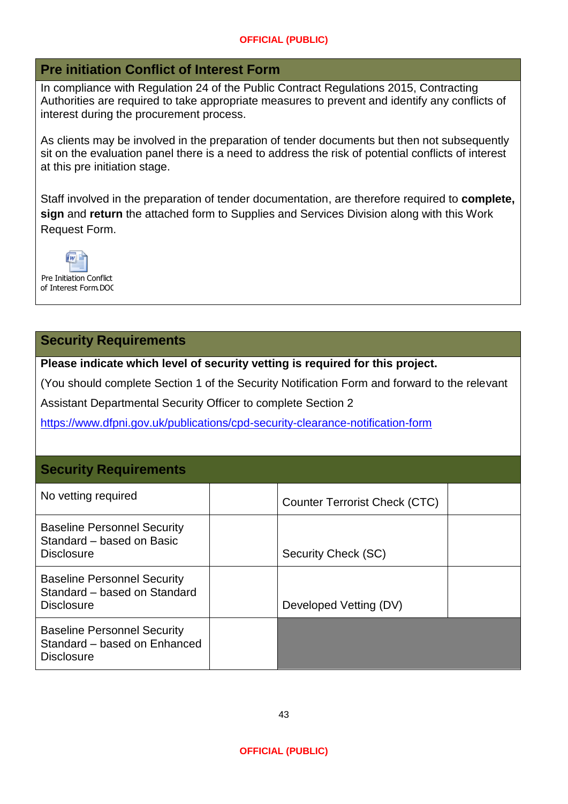# **Pre initiation Conflict of Interest Form**

In compliance with Regulation 24 of the Public Contract Regulations 2015, Contracting Authorities are required to take appropriate measures to prevent and identify any conflicts of interest during the procurement process.

As clients may be involved in the preparation of tender documents but then not subsequently sit on the evaluation panel there is a need to address the risk of potential conflicts of interest at this pre initiation stage.

Staff involved in the preparation of tender documentation, are therefore required to **complete, sign** and **return** the attached form to Supplies and Services Division along with this Work Request Form.



# **Security Requirements**

**Please indicate which level of security vetting is required for this project.** 

(You should complete Section 1 of the Security Notification Form and forward to the relevant

Assistant Departmental Security Officer to complete Section 2

<https://www.dfpni.gov.uk/publications/cpd-security-clearance-notification-form>

# **Security Requirements**

| No vetting required                                                                     | <b>Counter Terrorist Check (CTC)</b> |  |
|-----------------------------------------------------------------------------------------|--------------------------------------|--|
| <b>Baseline Personnel Security</b><br>Standard – based on Basic<br><b>Disclosure</b>    | Security Check (SC)                  |  |
| <b>Baseline Personnel Security</b><br>Standard - based on Standard<br><b>Disclosure</b> | Developed Vetting (DV)               |  |
| <b>Baseline Personnel Security</b><br>Standard - based on Enhanced<br><b>Disclosure</b> |                                      |  |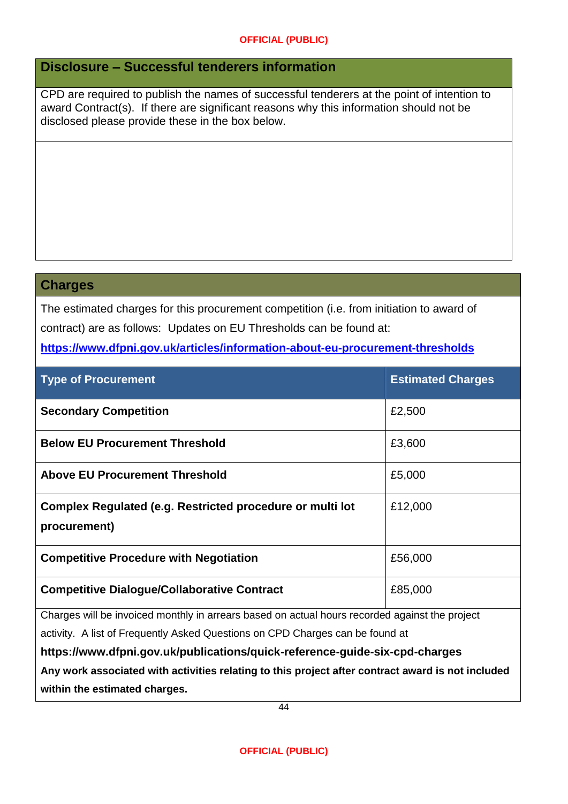# **Disclosure – Successful tenderers information**

CPD are required to publish the names of successful tenderers at the point of intention to award Contract(s). If there are significant reasons why this information should not be disclosed please provide these in the box below.

## **Charges**

The estimated charges for this procurement competition (i.e. from initiation to award of contract) are as follows: Updates on EU Thresholds can be found at:

# **<https://www.dfpni.gov.uk/articles/information-about-eu-procurement-thresholds>**

| <b>Type of Procurement</b>                                                | <b>Estimated Charges</b> |
|---------------------------------------------------------------------------|--------------------------|
| <b>Secondary Competition</b>                                              | £2,500                   |
| <b>Below EU Procurement Threshold</b>                                     | £3,600                   |
| <b>Above EU Procurement Threshold</b>                                     | £5,000                   |
| Complex Regulated (e.g. Restricted procedure or multi lot<br>procurement) | £12,000                  |
| <b>Competitive Procedure with Negotiation</b>                             | £56,000                  |
| <b>Competitive Dialogue/Collaborative Contract</b>                        | £85,000                  |

Charges will be invoiced monthly in arrears based on actual hours recorded against the project

activity. A list of Frequently Asked Questions on CPD Charges can be found at

**https://www.dfpni.gov.uk/publications/quick-reference-guide-six-cpd-charges Any work associated with activities relating to this project after contract award is not included within the estimated charges.**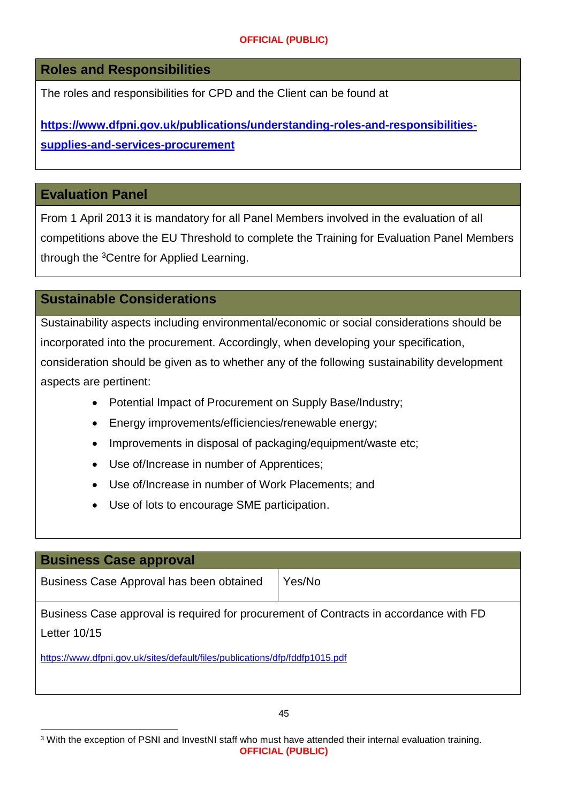**Roles and Responsibilities**

The roles and responsibilities for CPD and the Client can be found at

**[https://www.dfpni.gov.uk/publications/understanding-roles-and-responsibilities](https://www.dfpni.gov.uk/publications/understanding-roles-and-responsibilities-supplies-and-services-procurement)[supplies-and-services-procurement](https://www.dfpni.gov.uk/publications/understanding-roles-and-responsibilities-supplies-and-services-procurement)**

# **Evaluation Panel**

From 1 April 2013 it is mandatory for all Panel Members involved in the evaluation of all competitions above the EU Threshold to complete the Training for Evaluation Panel Members through the <sup>3</sup>Centre for Applied Learning.

# **Sustainable Considerations**

Sustainability aspects including environmental/economic or social considerations should be incorporated into the procurement. Accordingly, when developing your specification, consideration should be given as to whether any of the following sustainability development aspects are pertinent:

- Potential Impact of Procurement on Supply Base/Industry;
- Energy improvements/efficiencies/renewable energy;
- Improvements in disposal of packaging/equipment/waste etc;
- Use of/Increase in number of Apprentices;
- Use of/Increase in number of Work Placements; and
- Use of lots to encourage SME participation.

# **Business Case approval**

Business Case Approval has been obtained | Yes/No

Business Case approval is required for procurement of Contracts in accordance with FD Letter 10/15

<https://www.dfpni.gov.uk/sites/default/files/publications/dfp/fddfp1015.pdf>

**OFFICIAL (PUBLIC)** <sup>3</sup> With the exception of PSNI and InvestNI staff who must have attended their internal evaluation training.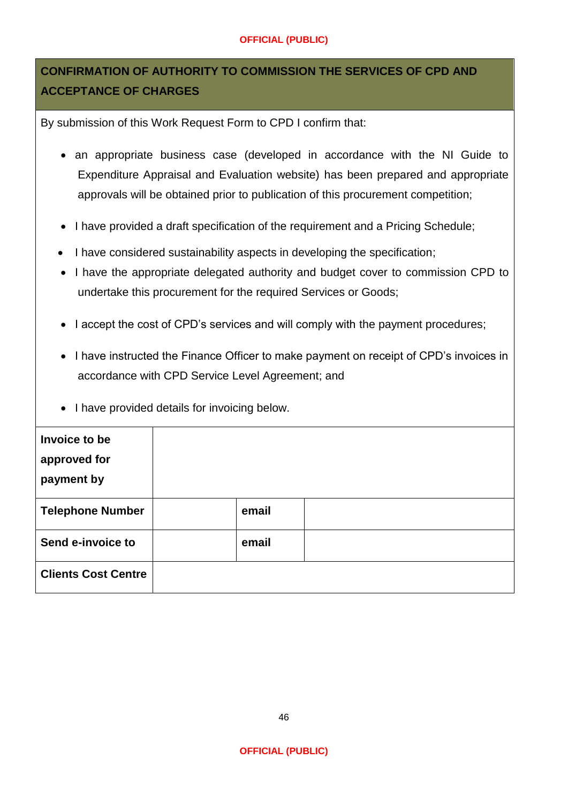# **CONFIRMATION OF AUTHORITY TO COMMISSION THE SERVICES OF CPD AND ACCEPTANCE OF CHARGES**

By submission of this Work Request Form to CPD I confirm that:

- an appropriate business case (developed in accordance with the NI Guide to Expenditure Appraisal and Evaluation website) has been prepared and appropriate approvals will be obtained prior to publication of this procurement competition;
- I have provided a draft specification of the requirement and a Pricing Schedule;
- I have considered sustainability aspects in developing the specification;
- I have the appropriate delegated authority and budget cover to commission CPD to undertake this procurement for the required Services or Goods;
- I accept the cost of CPD's services and will comply with the payment procedures;
- I have instructed the Finance Officer to make payment on receipt of CPD's invoices in accordance with CPD Service Level Agreement; and
- I have provided details for invoicing below.

| Invoice to be<br>approved for<br>payment by |       |  |
|---------------------------------------------|-------|--|
| <b>Telephone Number</b>                     | email |  |
| Send e-invoice to                           | email |  |
| <b>Clients Cost Centre</b>                  |       |  |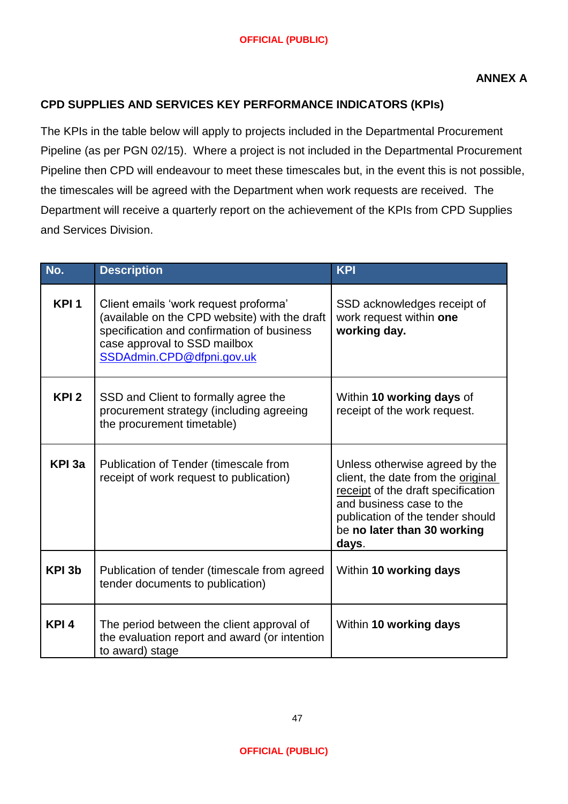# **CPD SUPPLIES AND SERVICES KEY PERFORMANCE INDICATORS (KPIs)**

The KPIs in the table below will apply to projects included in the Departmental Procurement Pipeline (as per PGN 02/15). Where a project is not included in the Departmental Procurement Pipeline then CPD will endeavour to meet these timescales but, in the event this is not possible, the timescales will be agreed with the Department when work requests are received. The Department will receive a quarterly report on the achievement of the KPIs from CPD Supplies and Services Division.

| No.              | <b>Description</b>                                                                                                                                                                                | <b>KPI</b>                                                                                                                                                                                                         |
|------------------|---------------------------------------------------------------------------------------------------------------------------------------------------------------------------------------------------|--------------------------------------------------------------------------------------------------------------------------------------------------------------------------------------------------------------------|
| KPI <sub>1</sub> | Client emails 'work request proforma'<br>(available on the CPD website) with the draft<br>specification and confirmation of business<br>case approval to SSD mailbox<br>SSDAdmin.CPD@dfpni.gov.uk | SSD acknowledges receipt of<br>work request within one<br>working day.                                                                                                                                             |
| KPI <sub>2</sub> | SSD and Client to formally agree the<br>procurement strategy (including agreeing<br>the procurement timetable)                                                                                    | Within 10 working days of<br>receipt of the work request.                                                                                                                                                          |
| KPI 3a           | Publication of Tender (timescale from<br>receipt of work request to publication)                                                                                                                  | Unless otherwise agreed by the<br>client, the date from the original<br>receipt of the draft specification<br>and business case to the<br>publication of the tender should<br>be no later than 30 working<br>days. |
| KPI 3b           | Publication of tender (timescale from agreed<br>tender documents to publication)                                                                                                                  | Within 10 working days                                                                                                                                                                                             |
| KPI <sub>4</sub> | The period between the client approval of<br>the evaluation report and award (or intention<br>to award) stage                                                                                     | Within 10 working days                                                                                                                                                                                             |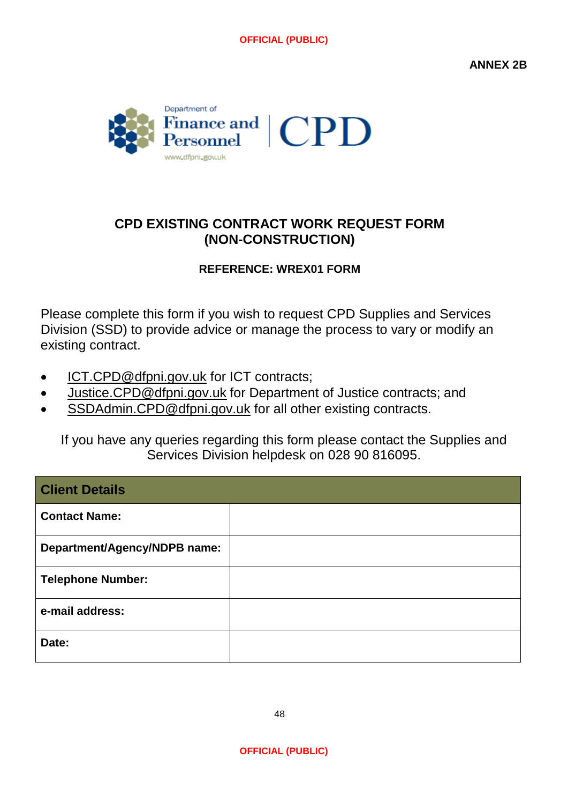**ANNEX 2B**



# **CPD EXISTING CONTRACT WORK REQUEST FORM (NON-CONSTRUCTION)**

# **REFERENCE: WREX01 FORM**

Please complete this form if you wish to request CPD Supplies and Services Division (SSD) to provide advice or manage the process to vary or modify an existing contract.

- [ICT.CPD@dfpni.gov.uk](mailto:ICT.CPD@dfpni.gov.uk) for ICT contracts;
- [Justice.CPD@dfpni.gov.uk](mailto:Justice.CPD@dfpni.gov.uk) for Department of Justice contracts; and
- [SSDAdmin.CPD@dfpni.gov.uk](mailto:SSDAdmin.CPD@dfpni.gov.uk) for all other existing contracts.

If you have any queries regarding this form please contact the Supplies and Services Division helpdesk on 028 90 816095.

| <b>Client Details</b>        |  |
|------------------------------|--|
| <b>Contact Name:</b>         |  |
| Department/Agency/NDPB name: |  |
| <b>Telephone Number:</b>     |  |
| e-mail address:              |  |
| Date:                        |  |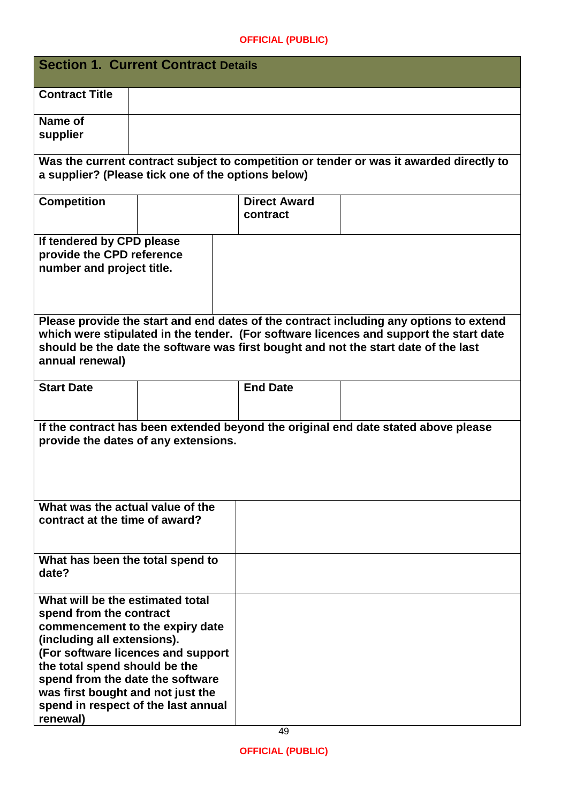| <b>Section 1. Current Contract Details</b>                                                                                                                                                                                                                                                                                       |  |    |                                 |                                                                                                                                                                                                                                                                         |
|----------------------------------------------------------------------------------------------------------------------------------------------------------------------------------------------------------------------------------------------------------------------------------------------------------------------------------|--|----|---------------------------------|-------------------------------------------------------------------------------------------------------------------------------------------------------------------------------------------------------------------------------------------------------------------------|
| <b>Contract Title</b>                                                                                                                                                                                                                                                                                                            |  |    |                                 |                                                                                                                                                                                                                                                                         |
| Name of<br>supplier                                                                                                                                                                                                                                                                                                              |  |    |                                 |                                                                                                                                                                                                                                                                         |
| a supplier? (Please tick one of the options below)                                                                                                                                                                                                                                                                               |  |    |                                 | Was the current contract subject to competition or tender or was it awarded directly to                                                                                                                                                                                 |
| <b>Competition</b>                                                                                                                                                                                                                                                                                                               |  |    | <b>Direct Award</b><br>contract |                                                                                                                                                                                                                                                                         |
| If tendered by CPD please<br>provide the CPD reference<br>number and project title.                                                                                                                                                                                                                                              |  |    |                                 |                                                                                                                                                                                                                                                                         |
| annual renewal)                                                                                                                                                                                                                                                                                                                  |  |    |                                 | Please provide the start and end dates of the contract including any options to extend<br>which were stipulated in the tender. (For software licences and support the start date<br>should be the date the software was first bought and not the start date of the last |
| <b>Start Date</b>                                                                                                                                                                                                                                                                                                                |  |    | <b>End Date</b>                 |                                                                                                                                                                                                                                                                         |
| If the contract has been extended beyond the original end date stated above please<br>provide the dates of any extensions.                                                                                                                                                                                                       |  |    |                                 |                                                                                                                                                                                                                                                                         |
| What was the actual value of the<br>contract at the time of award?                                                                                                                                                                                                                                                               |  |    |                                 |                                                                                                                                                                                                                                                                         |
| What has been the total spend to<br>date?                                                                                                                                                                                                                                                                                        |  |    |                                 |                                                                                                                                                                                                                                                                         |
| What will be the estimated total<br>spend from the contract<br>commencement to the expiry date<br>(including all extensions).<br>(For software licences and support<br>the total spend should be the<br>spend from the date the software<br>was first bought and not just the<br>spend in respect of the last annual<br>renewal) |  | 49 |                                 |                                                                                                                                                                                                                                                                         |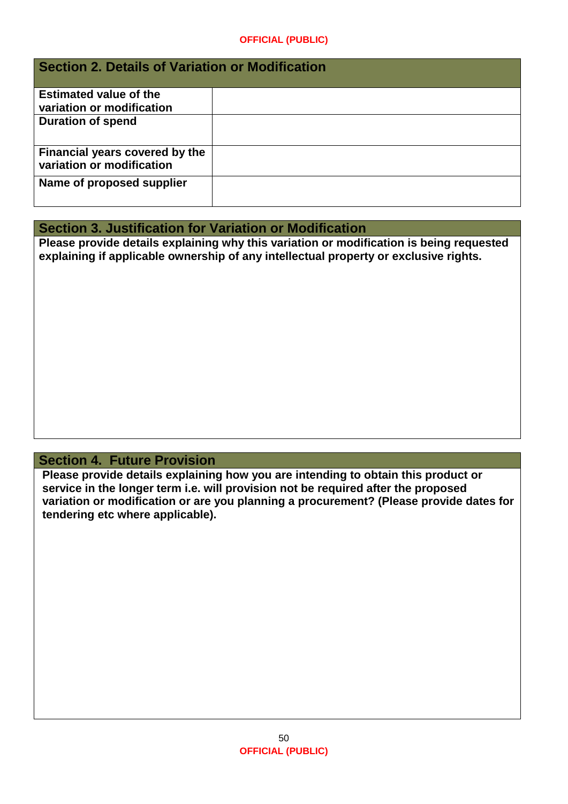# **Section 2. Details of Variation or Modification Estimated value of the variation or modification Duration of spend Financial years covered by the variation or modification Name of proposed supplier**

# **Section 3. Justification for Variation or Modification**

**Please provide details explaining why this variation or modification is being requested explaining if applicable ownership of any intellectual property or exclusive rights.** 

# **Section 4. Future Provision**

**Please provide details explaining how you are intending to obtain this product or service in the longer term i.e. will provision not be required after the proposed variation or modification or are you planning a procurement? (Please provide dates for tendering etc where applicable).**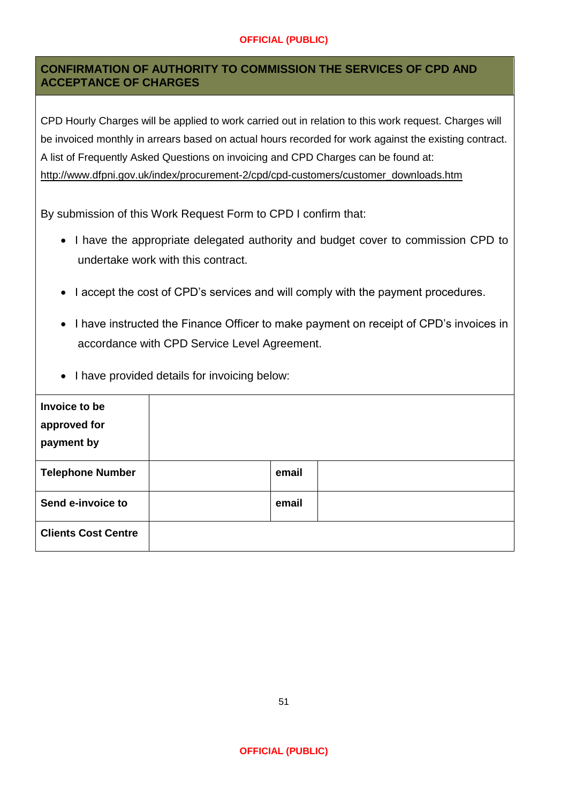# **CONFIRMATION OF AUTHORITY TO COMMISSION THE SERVICES OF CPD AND ACCEPTANCE OF CHARGES**

CPD Hourly Charges will be applied to work carried out in relation to this work request. Charges will be invoiced monthly in arrears based on actual hours recorded for work against the existing contract. A list of Frequently Asked Questions on invoicing and CPD Charges can be found at: [http://www.dfpni.gov.uk/index/procurement-2/cpd/cpd-customers/customer\\_downloads.htm](http://www.dfpni.gov.uk/index/procurement-2/cpd/cpd-customers/customer_downloads.htm)

By submission of this Work Request Form to CPD I confirm that:

- I have the appropriate delegated authority and budget cover to commission CPD to undertake work with this contract.
- I accept the cost of CPD's services and will comply with the payment procedures.
- I have instructed the Finance Officer to make payment on receipt of CPD's invoices in accordance with CPD Service Level Agreement.
- I have provided details for invoicing below:

| Invoice to be<br>approved for<br>payment by |       |  |
|---------------------------------------------|-------|--|
| <b>Telephone Number</b>                     | email |  |
| Send e-invoice to                           | email |  |
| <b>Clients Cost Centre</b>                  |       |  |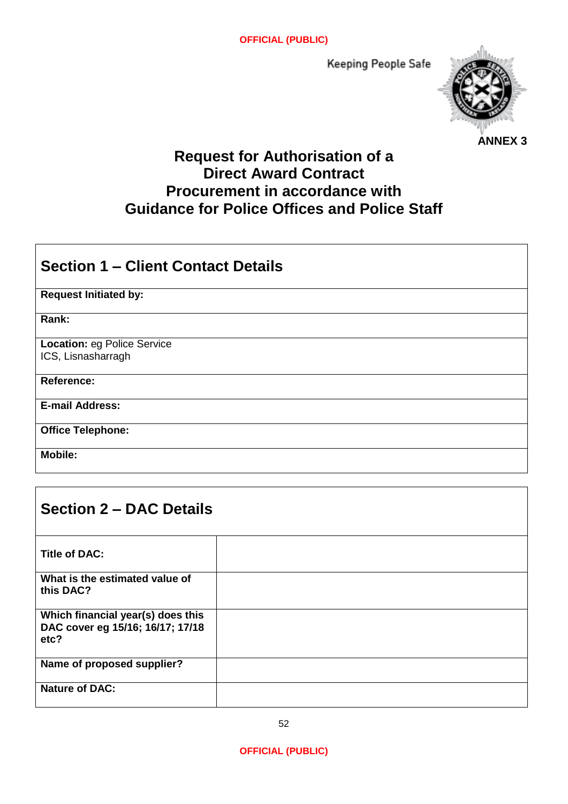Keeping People Safe



# **Request for Authorisation of a Direct Award Contract Procurement in accordance with Guidance for Police Offices and Police Staff**

| <b>Section 1 – Client Contact Details</b>                |
|----------------------------------------------------------|
| <b>Request Initiated by:</b>                             |
| Rank:                                                    |
| <b>Location: eg Police Service</b><br>ICS, Lisnasharragh |
| <b>Reference:</b>                                        |
| <b>E-mail Address:</b>                                   |
| <b>Office Telephone:</b>                                 |
| <b>Mobile:</b>                                           |

| <b>Section 2 – DAC Details</b>                                                |  |  |  |
|-------------------------------------------------------------------------------|--|--|--|
| <b>Title of DAC:</b>                                                          |  |  |  |
| What is the estimated value of<br>this DAC?                                   |  |  |  |
| Which financial year(s) does this<br>DAC cover eg 15/16; 16/17; 17/18<br>etc? |  |  |  |
| Name of proposed supplier?                                                    |  |  |  |
| <b>Nature of DAC:</b>                                                         |  |  |  |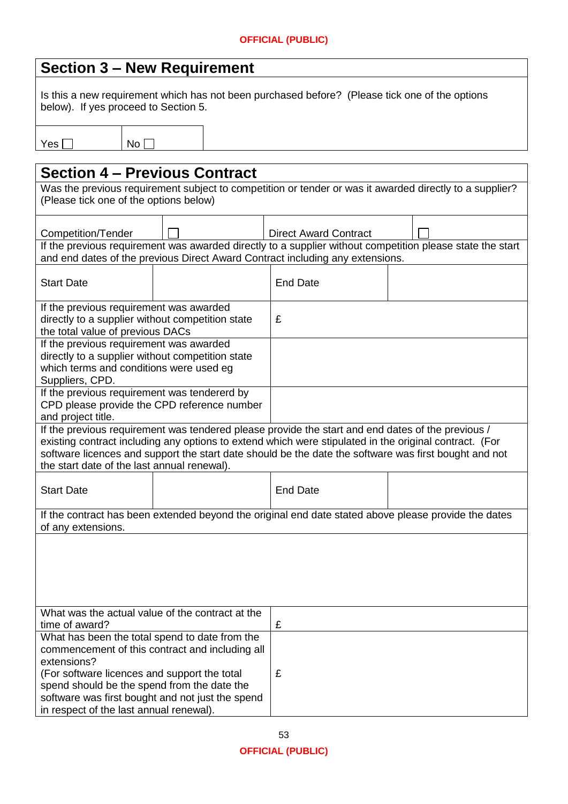| <b>Section 3 – New Requirement</b>                                                                                                                                                                                                                                                                                                                                  |  |                                                                               |                                                                                                           |  |  |
|---------------------------------------------------------------------------------------------------------------------------------------------------------------------------------------------------------------------------------------------------------------------------------------------------------------------------------------------------------------------|--|-------------------------------------------------------------------------------|-----------------------------------------------------------------------------------------------------------|--|--|
| Is this a new requirement which has not been purchased before? (Please tick one of the options<br>below). If yes proceed to Section 5.                                                                                                                                                                                                                              |  |                                                                               |                                                                                                           |  |  |
| No <sub>1</sub><br>Yes                                                                                                                                                                                                                                                                                                                                              |  |                                                                               |                                                                                                           |  |  |
|                                                                                                                                                                                                                                                                                                                                                                     |  |                                                                               |                                                                                                           |  |  |
| <b>Section 4 – Previous Contract</b>                                                                                                                                                                                                                                                                                                                                |  |                                                                               |                                                                                                           |  |  |
| (Please tick one of the options below)                                                                                                                                                                                                                                                                                                                              |  |                                                                               | Was the previous requirement subject to competition or tender or was it awarded directly to a supplier?   |  |  |
| Competition/Tender                                                                                                                                                                                                                                                                                                                                                  |  | <b>Direct Award Contract</b>                                                  |                                                                                                           |  |  |
|                                                                                                                                                                                                                                                                                                                                                                     |  | and end dates of the previous Direct Award Contract including any extensions. | If the previous requirement was awarded directly to a supplier without competition please state the start |  |  |
| <b>Start Date</b>                                                                                                                                                                                                                                                                                                                                                   |  | <b>End Date</b>                                                               |                                                                                                           |  |  |
| If the previous requirement was awarded<br>directly to a supplier without competition state<br>the total value of previous DACs                                                                                                                                                                                                                                     |  | £                                                                             |                                                                                                           |  |  |
| If the previous requirement was awarded<br>directly to a supplier without competition state<br>which terms and conditions were used eg<br>Suppliers, CPD.                                                                                                                                                                                                           |  |                                                                               |                                                                                                           |  |  |
| If the previous requirement was tendererd by<br>CPD please provide the CPD reference number<br>and project title.                                                                                                                                                                                                                                                   |  |                                                                               |                                                                                                           |  |  |
| If the previous requirement was tendered please provide the start and end dates of the previous /<br>existing contract including any options to extend which were stipulated in the original contract. (For<br>software licences and support the start date should be the date the software was first bought and not<br>the start date of the last annual renewal). |  |                                                                               |                                                                                                           |  |  |
| <b>Start Date</b>                                                                                                                                                                                                                                                                                                                                                   |  | <b>End Date</b>                                                               |                                                                                                           |  |  |
| of any extensions.                                                                                                                                                                                                                                                                                                                                                  |  |                                                                               | If the contract has been extended beyond the original end date stated above please provide the dates      |  |  |
|                                                                                                                                                                                                                                                                                                                                                                     |  |                                                                               |                                                                                                           |  |  |
| What was the actual value of the contract at the<br>time of award?                                                                                                                                                                                                                                                                                                  |  | £                                                                             |                                                                                                           |  |  |
| What has been the total spend to date from the<br>commencement of this contract and including all<br>extensions?                                                                                                                                                                                                                                                    |  |                                                                               |                                                                                                           |  |  |
| (For software licences and support the total<br>spend should be the spend from the date the<br>software was first bought and not just the spend<br>in respect of the last annual renewal).                                                                                                                                                                          |  | £                                                                             |                                                                                                           |  |  |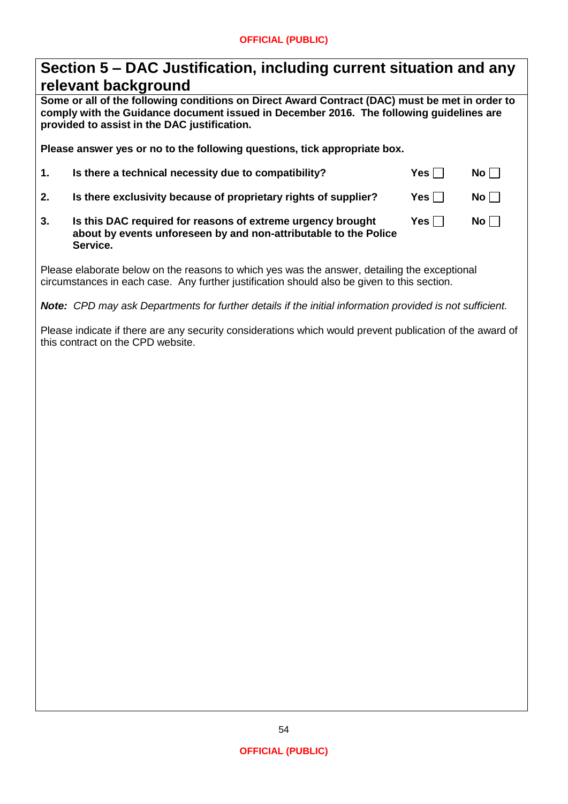| Section 5 – DAC Justification, including current situation and any |  |
|--------------------------------------------------------------------|--|
| relevant background                                                |  |

**Some or all of the following conditions on Direct Award Contract (DAC) must be met in order to comply with the Guidance document issued in December 2016. The following guidelines are provided to assist in the DAC justification.**

**Please answer yes or no to the following questions, tick appropriate box.**

| 1.               | Is there a technical necessity due to compatibility?                                                                                        | Yes $\Box$   | $No$ $\vert$ $\vert$ |
|------------------|---------------------------------------------------------------------------------------------------------------------------------------------|--------------|----------------------|
| $\overline{2}$ . | Is there exclusivity because of proprietary rights of supplier?                                                                             | Yes $\lceil$ | $No$ $\vert$ $\vert$ |
| 3.               | Is this DAC required for reasons of extreme urgency brought<br>about by events unforeseen by and non-attributable to the Police<br>Service. | Yes II       | $No \Box$            |

Please elaborate below on the reasons to which yes was the answer, detailing the exceptional circumstances in each case. Any further justification should also be given to this section.

*Note: CPD may ask Departments for further details if the initial information provided is not sufficient.*

Please indicate if there are any security considerations which would prevent publication of the award of this contract on the CPD website.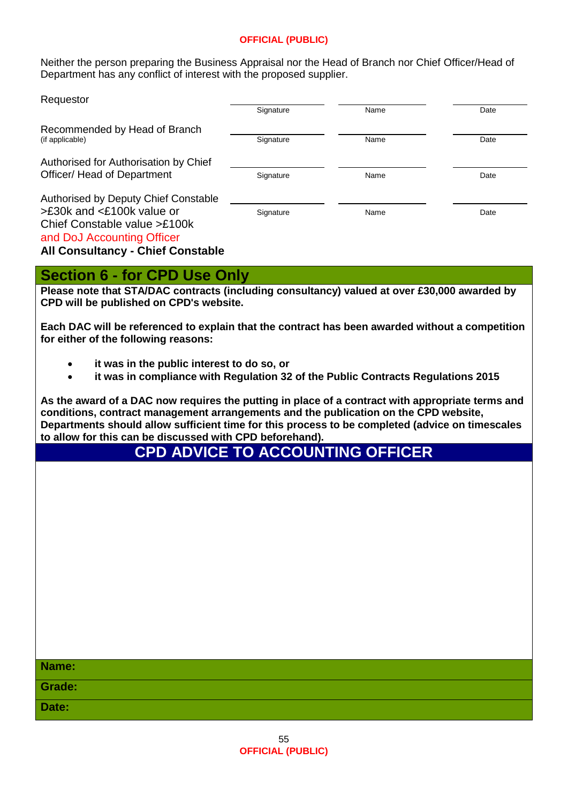Neither the person preparing the Business Appraisal nor the Head of Branch nor Chief Officer/Head of Department has any conflict of interest with the proposed supplier.

| Requestor                                                                                                                                                                   | Signature | Name | Date |
|-----------------------------------------------------------------------------------------------------------------------------------------------------------------------------|-----------|------|------|
| Recommended by Head of Branch<br>(if applicable)                                                                                                                            | Signature | Name | Date |
| Authorised for Authorisation by Chief<br>Officer/ Head of Department                                                                                                        | Signature | Name | Date |
| Authorised by Deputy Chief Constable<br>>£30k and <£100k value or<br>Chief Constable value >£100k<br>and DoJ Accounting Officer<br><b>All Consultancy - Chief Constable</b> | Signature | Name | Date |

# **Section 6 - for CPD Use Only**

**Please note that STA/DAC contracts (including consultancy) valued at over £30,000 awarded by CPD will be published on CPD's website.**

**Each DAC will be referenced to explain that the contract has been awarded without a competition for either of the following reasons:**

- **it was in the public interest to do so, or**
- **it was in compliance with Regulation 32 of the Public Contracts Regulations 2015**

**As the award of a DAC now requires the putting in place of a contract with appropriate terms and conditions, contract management arrangements and the publication on the CPD website, Departments should allow sufficient time for this process to be completed (advice on timescales to allow for this can be discussed with CPD beforehand).**

**CPD ADVICE TO ACCOUNTING OFFICER**

| Name:  |  |
|--------|--|
| Grade: |  |
| Date:  |  |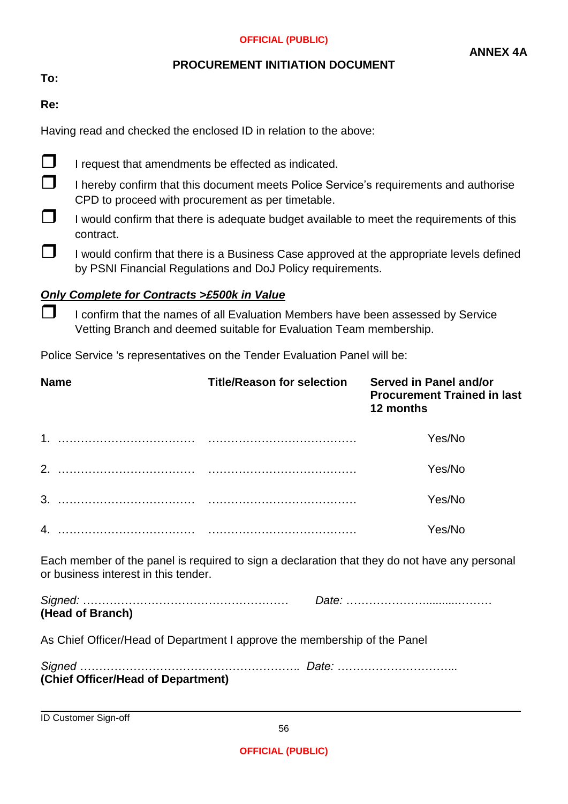### **PROCUREMENT INITIATION DOCUMENT**

**To:** 

**Re:**

Having read and checked the enclosed ID in relation to the above:

- $\Box$  I request that amendments be effected as indicated.
- $\Box$  I hereby confirm that this document meets Police Service's requirements and authorise CPD to proceed with procurement as per timetable.
- I would confirm that there is adequate budget available to meet the requirements of this contract.
- $\Box$  I would confirm that there is a Business Case approved at the appropriate levels defined by PSNI Financial Regulations and DoJ Policy requirements.

# *Only Complete for Contracts >£500k in Value*

 $\Box$  I confirm that the names of all Evaluation Members have been assessed by Service Vetting Branch and deemed suitable for Evaluation Team membership.

Police Service 's representatives on the Tender Evaluation Panel will be:

| <b>Name</b>                                                                                                                           | <b>Title/Reason for selection</b> | Served in Panel and/or<br><b>Procurement Trained in last</b><br>12 months |  |  |  |
|---------------------------------------------------------------------------------------------------------------------------------------|-----------------------------------|---------------------------------------------------------------------------|--|--|--|
|                                                                                                                                       |                                   | Yes/No                                                                    |  |  |  |
|                                                                                                                                       |                                   | Yes/No                                                                    |  |  |  |
|                                                                                                                                       |                                   | Yes/No                                                                    |  |  |  |
|                                                                                                                                       |                                   | Yes/No                                                                    |  |  |  |
| Each member of the panel is required to sign a declaration that they do not have any personal<br>or business interest in this tender. |                                   |                                                                           |  |  |  |
| (Head of Branch)                                                                                                                      |                                   |                                                                           |  |  |  |
| As Chief Officer/Head of Department I approve the membership of the Panel                                                             |                                   |                                                                           |  |  |  |
| (Chief Officer/Head of Department)                                                                                                    |                                   |                                                                           |  |  |  |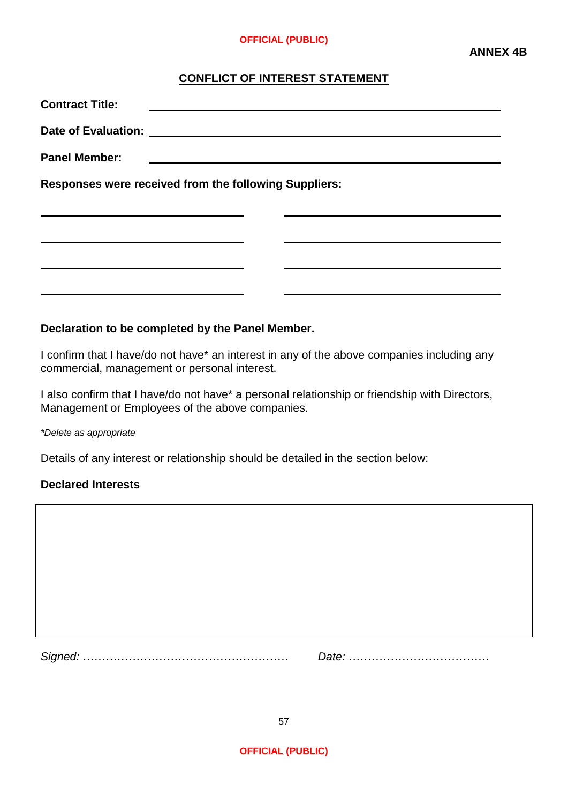#### **CONFLICT OF INTEREST STATEMENT**

| <b>Contract Title:</b>                                |                                               |  |  |  |  |  |
|-------------------------------------------------------|-----------------------------------------------|--|--|--|--|--|
|                                                       |                                               |  |  |  |  |  |
| <b>Panel Member:</b>                                  | <u> 1989 - Andrea Andrew Maria (h. 1989).</u> |  |  |  |  |  |
| Responses were received from the following Suppliers: |                                               |  |  |  |  |  |
|                                                       |                                               |  |  |  |  |  |
|                                                       |                                               |  |  |  |  |  |
|                                                       |                                               |  |  |  |  |  |

#### **Declaration to be completed by the Panel Member.**

I confirm that I have/do not have\* an interest in any of the above companies including any commercial, management or personal interest.

I also confirm that I have/do not have\* a personal relationship or friendship with Directors, Management or Employees of the above companies.

*\*Delete as appropriate*

Details of any interest or relationship should be detailed in the section below:

#### **Declared Interests**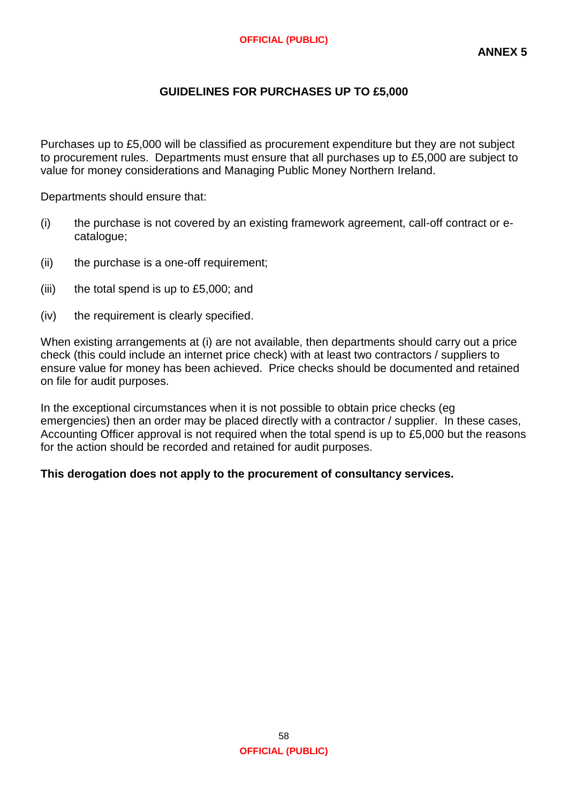# **GUIDELINES FOR PURCHASES UP TO £5,000**

Purchases up to £5,000 will be classified as procurement expenditure but they are not subject to procurement rules. Departments must ensure that all purchases up to £5,000 are subject to value for money considerations and Managing Public Money Northern Ireland.

Departments should ensure that:

- (i) the purchase is not covered by an existing framework agreement, call-off contract or ecatalogue;
- (ii) the purchase is a one-off requirement;
- (iii) the total spend is up to £5,000; and
- (iv) the requirement is clearly specified.

When existing arrangements at (i) are not available, then departments should carry out a price check (this could include an internet price check) with at least two contractors / suppliers to ensure value for money has been achieved. Price checks should be documented and retained on file for audit purposes.

In the exceptional circumstances when it is not possible to obtain price checks (eg emergencies) then an order may be placed directly with a contractor / supplier. In these cases, Accounting Officer approval is not required when the total spend is up to £5,000 but the reasons for the action should be recorded and retained for audit purposes.

#### **This derogation does not apply to the procurement of consultancy services.**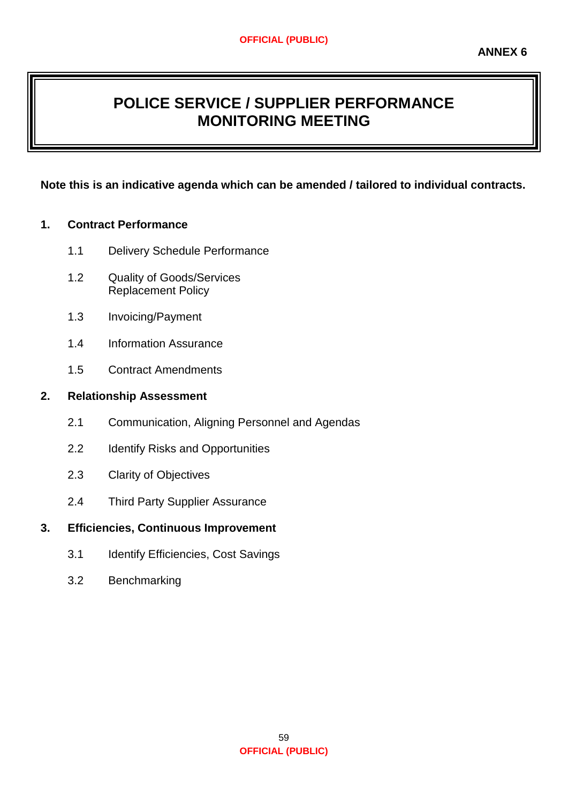# **POLICE SERVICE / SUPPLIER PERFORMANCE MONITORING MEETING**

# **Note this is an indicative agenda which can be amended / tailored to individual contracts.**

## **1. Contract Performance**

- 1.1 Delivery Schedule Performance
- 1.2 Quality of Goods/Services Replacement Policy
- 1.3 Invoicing/Payment
- 1.4 Information Assurance
- 1.5 Contract Amendments

## **2. Relationship Assessment**

- 2.1 Communication, Aligning Personnel and Agendas
- 2.2 Identify Risks and Opportunities
- 2.3 Clarity of Objectives
- 2.4 Third Party Supplier Assurance

# **3. Efficiencies, Continuous Improvement**

- 3.1 Identify Efficiencies, Cost Savings
- 3.2 Benchmarking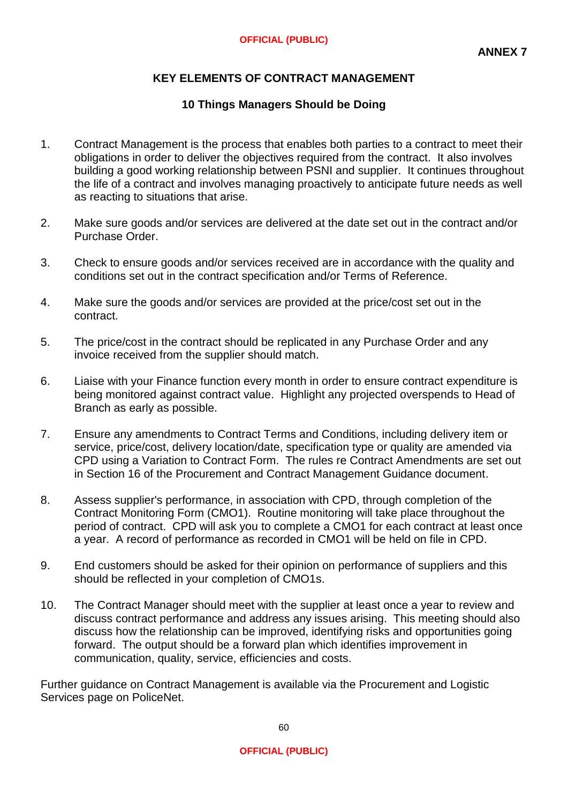# **KEY ELEMENTS OF CONTRACT MANAGEMENT**

# **10 Things Managers Should be Doing**

- 1. Contract Management is the process that enables both parties to a contract to meet their obligations in order to deliver the objectives required from the contract. It also involves building a good working relationship between PSNI and supplier. It continues throughout the life of a contract and involves managing proactively to anticipate future needs as well as reacting to situations that arise.
- 2. Make sure goods and/or services are delivered at the date set out in the contract and/or Purchase Order.
- 3. Check to ensure goods and/or services received are in accordance with the quality and conditions set out in the contract specification and/or Terms of Reference.
- 4. Make sure the goods and/or services are provided at the price/cost set out in the contract.
- 5. The price/cost in the contract should be replicated in any Purchase Order and any invoice received from the supplier should match.
- 6. Liaise with your Finance function every month in order to ensure contract expenditure is being monitored against contract value. Highlight any projected overspends to Head of Branch as early as possible.
- 7. Ensure any amendments to Contract Terms and Conditions, including delivery item or service, price/cost, delivery location/date, specification type or quality are amended via CPD using a Variation to Contract Form. The rules re Contract Amendments are set out in Section 16 of the Procurement and Contract Management Guidance document.
- 8. Assess supplier's performance, in association with CPD, through completion of the Contract Monitoring Form (CMO1). Routine monitoring will take place throughout the period of contract. CPD will ask you to complete a CMO1 for each contract at least once a year. A record of performance as recorded in CMO1 will be held on file in CPD.
- 9. End customers should be asked for their opinion on performance of suppliers and this should be reflected in your completion of CMO1s.
- 10. The Contract Manager should meet with the supplier at least once a year to review and discuss contract performance and address any issues arising. This meeting should also discuss how the relationship can be improved, identifying risks and opportunities going forward. The output should be a forward plan which identifies improvement in communication, quality, service, efficiencies and costs.

Further guidance on Contract Management is available via the Procurement and Logistic Services page on PoliceNet.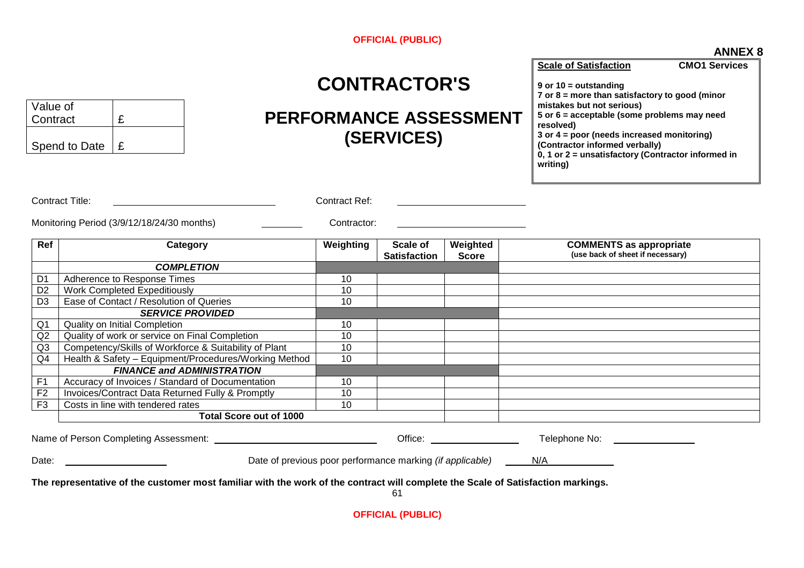#### **ANNEX 8**

|                           |                                                                                                                                  |                               | <b>CONTRACTOR'S</b>             |                          | <b>Scale of Satisfaction</b><br><b>CMO1 Services</b><br>9 or $10 =$ outstanding<br>$7$ or $8$ = more than satisfactory to good (minor                                                                                         |  |
|---------------------------|----------------------------------------------------------------------------------------------------------------------------------|-------------------------------|---------------------------------|--------------------------|-------------------------------------------------------------------------------------------------------------------------------------------------------------------------------------------------------------------------------|--|
| Value of<br>£<br>Contract |                                                                                                                                  | <b>PERFORMANCE ASSESSMENT</b> |                                 |                          | mistakes but not serious)<br>5 or 6 = acceptable (some problems may need<br>resolved)<br>3 or 4 = poor (needs increased monitoring)                                                                                           |  |
|                           | Spend to Date<br>E                                                                                                               |                               | (SERVICES)                      |                          | (Contractor informed verbally)<br>0, 1 or 2 = unsatisfactory (Contractor informed in<br>writing)                                                                                                                              |  |
|                           | <b>Contract Title:</b>                                                                                                           | Contract Ref:                 |                                 |                          |                                                                                                                                                                                                                               |  |
|                           | Monitoring Period (3/9/12/18/24/30 months)                                                                                       | Contractor:                   |                                 |                          |                                                                                                                                                                                                                               |  |
| Ref                       | Category                                                                                                                         | Weighting                     | Scale of<br><b>Satisfaction</b> | Weighted<br><b>Score</b> | <b>COMMENTS as appropriate</b><br>(use back of sheet if necessary)                                                                                                                                                            |  |
|                           | <b>COMPLETION</b>                                                                                                                |                               |                                 |                          |                                                                                                                                                                                                                               |  |
| D <sub>1</sub>            | Adherence to Response Times                                                                                                      | 10                            |                                 |                          |                                                                                                                                                                                                                               |  |
| D <sub>2</sub>            | <b>Work Completed Expeditiously</b>                                                                                              | 10                            |                                 |                          |                                                                                                                                                                                                                               |  |
| D <sub>3</sub>            | Ease of Contact / Resolution of Queries                                                                                          | 10                            |                                 |                          |                                                                                                                                                                                                                               |  |
|                           | <b>SERVICE PROVIDED</b>                                                                                                          |                               |                                 |                          |                                                                                                                                                                                                                               |  |
| Q1                        | <b>Quality on Initial Completion</b>                                                                                             | 10                            |                                 |                          |                                                                                                                                                                                                                               |  |
| Q2                        | Quality of work or service on Final Completion                                                                                   | 10                            |                                 |                          |                                                                                                                                                                                                                               |  |
| Q3                        | Competency/Skills of Workforce & Suitability of Plant                                                                            | 10                            |                                 |                          |                                                                                                                                                                                                                               |  |
| Q4                        | Health & Safety - Equipment/Procedures/Working Method                                                                            | 10                            |                                 |                          |                                                                                                                                                                                                                               |  |
|                           | <b>FINANCE and ADMINISTRATION</b>                                                                                                |                               |                                 |                          |                                                                                                                                                                                                                               |  |
| F <sub>1</sub>            | Accuracy of Invoices / Standard of Documentation                                                                                 | 10                            |                                 |                          |                                                                                                                                                                                                                               |  |
| F <sub>2</sub>            | Invoices/Contract Data Returned Fully & Promptly                                                                                 | 10                            |                                 |                          |                                                                                                                                                                                                                               |  |
| F <sub>3</sub>            | Costs in line with tendered rates                                                                                                | 10                            |                                 |                          |                                                                                                                                                                                                                               |  |
|                           | <b>Total Score out of 1000</b>                                                                                                   |                               |                                 |                          |                                                                                                                                                                                                                               |  |
|                           |                                                                                                                                  |                               |                                 |                          | Telephone No: The Contract of the Contract of the Contract of the Contract of the Contract of the Contract of the Contract of the Contract of the Contract of the Contract of the Contract of the Contract of the Contract of |  |
| Date:                     |                                                                                                                                  |                               |                                 |                          | Date of previous poor performance marking <i>(if applicable)</i> N/A                                                                                                                                                          |  |
|                           | The representative of the customer most familiar with the work of the contract will complete the Scale of Satisfaction markings. |                               | 61                              |                          |                                                                                                                                                                                                                               |  |
|                           |                                                                                                                                  |                               | <b>OFFICIAL (PUBLIC)</b>        |                          |                                                                                                                                                                                                                               |  |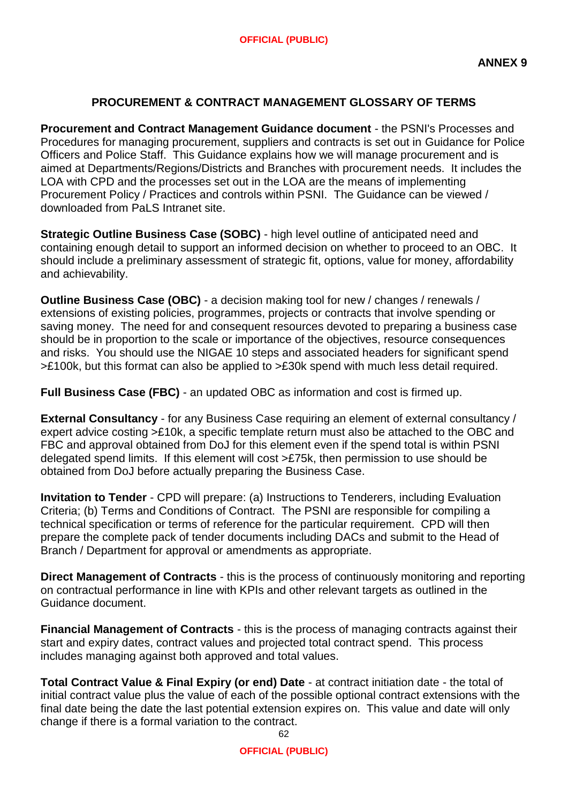# **PROCUREMENT & CONTRACT MANAGEMENT GLOSSARY OF TERMS**

**Procurement and Contract Management Guidance document** - the PSNI's Processes and Procedures for managing procurement, suppliers and contracts is set out in Guidance for Police Officers and Police Staff. This Guidance explains how we will manage procurement and is aimed at Departments/Regions/Districts and Branches with procurement needs. It includes the LOA with CPD and the processes set out in the LOA are the means of implementing Procurement Policy / Practices and controls within PSNI. The Guidance can be viewed / downloaded from PaLS Intranet site.

**Strategic Outline Business Case (SOBC)** - high level outline of anticipated need and containing enough detail to support an informed decision on whether to proceed to an OBC. It should include a preliminary assessment of strategic fit, options, value for money, affordability and achievability.

**Outline Business Case (OBC)** - a decision making tool for new / changes / renewals / extensions of existing policies, programmes, projects or contracts that involve spending or saving money. The need for and consequent resources devoted to preparing a business case should be in proportion to the scale or importance of the objectives, resource consequences and risks. You should use the NIGAE 10 steps and associated headers for significant spend >£100k, but this format can also be applied to >£30k spend with much less detail required.

**Full Business Case (FBC)** - an updated OBC as information and cost is firmed up.

**External Consultancy** - for any Business Case requiring an element of external consultancy / expert advice costing >£10k, a specific template return must also be attached to the OBC and FBC and approval obtained from DoJ for this element even if the spend total is within PSNI delegated spend limits. If this element will cost >£75k, then permission to use should be obtained from DoJ before actually preparing the Business Case.

**Invitation to Tender** - CPD will prepare: (a) Instructions to Tenderers, including Evaluation Criteria; (b) Terms and Conditions of Contract. The PSNI are responsible for compiling a technical specification or terms of reference for the particular requirement. CPD will then prepare the complete pack of tender documents including DACs and submit to the Head of Branch / Department for approval or amendments as appropriate.

**Direct Management of Contracts** - this is the process of continuously monitoring and reporting on contractual performance in line with KPIs and other relevant targets as outlined in the Guidance document.

**Financial Management of Contracts** - this is the process of managing contracts against their start and expiry dates, contract values and projected total contract spend. This process includes managing against both approved and total values.

**Total Contract Value & Final Expiry (or end) Date** - at contract initiation date - the total of initial contract value plus the value of each of the possible optional contract extensions with the final date being the date the last potential extension expires on. This value and date will only change if there is a formal variation to the contract.

62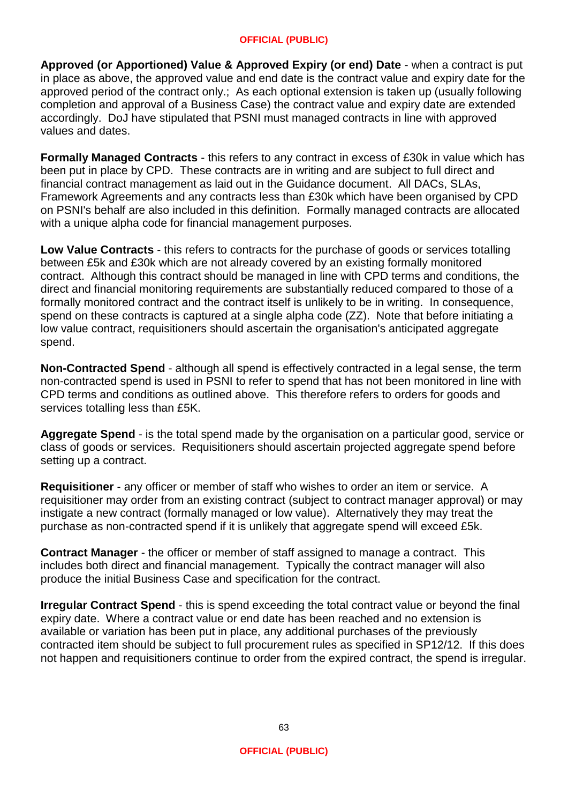**Approved (or Apportioned) Value & Approved Expiry (or end) Date** - when a contract is put in place as above, the approved value and end date is the contract value and expiry date for the approved period of the contract only.; As each optional extension is taken up (usually following completion and approval of a Business Case) the contract value and expiry date are extended accordingly. DoJ have stipulated that PSNI must managed contracts in line with approved values and dates.

**Formally Managed Contracts** - this refers to any contract in excess of £30k in value which has been put in place by CPD. These contracts are in writing and are subject to full direct and financial contract management as laid out in the Guidance document. All DACs, SLAs, Framework Agreements and any contracts less than £30k which have been organised by CPD on PSNI's behalf are also included in this definition. Formally managed contracts are allocated with a unique alpha code for financial management purposes.

**Low Value Contracts** - this refers to contracts for the purchase of goods or services totalling between £5k and £30k which are not already covered by an existing formally monitored contract. Although this contract should be managed in line with CPD terms and conditions, the direct and financial monitoring requirements are substantially reduced compared to those of a formally monitored contract and the contract itself is unlikely to be in writing. In consequence, spend on these contracts is captured at a single alpha code (ZZ). Note that before initiating a low value contract, requisitioners should ascertain the organisation's anticipated aggregate spend.

**Non-Contracted Spend** - although all spend is effectively contracted in a legal sense, the term non-contracted spend is used in PSNI to refer to spend that has not been monitored in line with CPD terms and conditions as outlined above. This therefore refers to orders for goods and services totalling less than £5K.

**Aggregate Spend** - is the total spend made by the organisation on a particular good, service or class of goods or services. Requisitioners should ascertain projected aggregate spend before setting up a contract.

**Requisitioner** - any officer or member of staff who wishes to order an item or service. A requisitioner may order from an existing contract (subject to contract manager approval) or may instigate a new contract (formally managed or low value). Alternatively they may treat the purchase as non-contracted spend if it is unlikely that aggregate spend will exceed £5k.

**Contract Manager** - the officer or member of staff assigned to manage a contract. This includes both direct and financial management. Typically the contract manager will also produce the initial Business Case and specification for the contract.

**Irregular Contract Spend** - this is spend exceeding the total contract value or beyond the final expiry date. Where a contract value or end date has been reached and no extension is available or variation has been put in place, any additional purchases of the previously contracted item should be subject to full procurement rules as specified in SP12/12. If this does not happen and requisitioners continue to order from the expired contract, the spend is irregular.